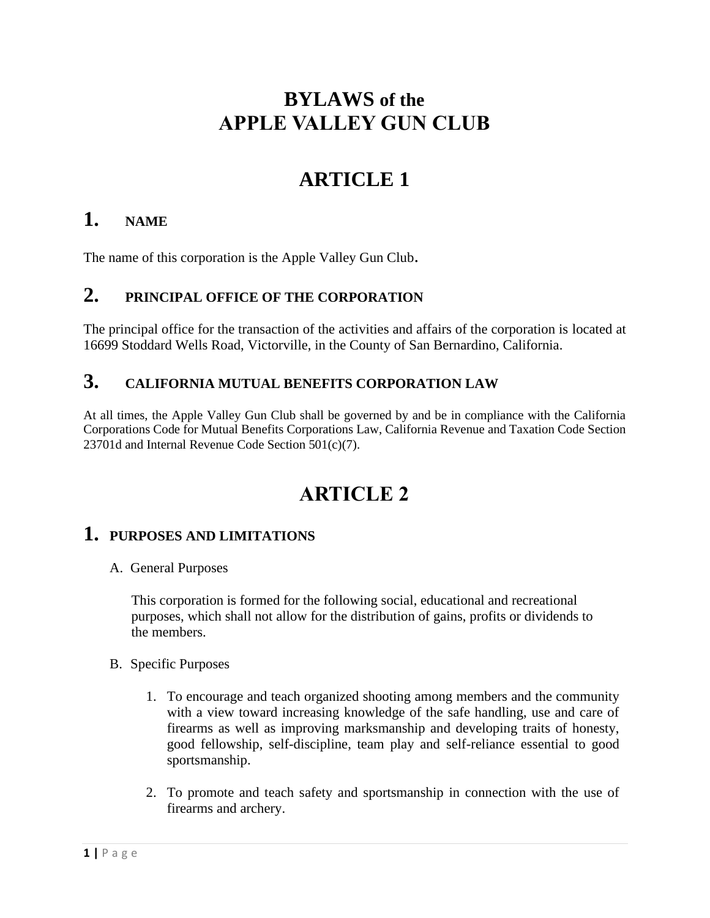# **BYLAWS of the APPLE VALLEY GUN CLUB**

# **ARTICLE 1**

## **1. NAME**

The name of this corporation is the Apple Valley Gun Club.

## **2. PRINCIPAL OFFICE OF THE CORPORATION**

The principal office for the transaction of the activities and affairs of the corporation is located at 16699 Stoddard Wells Road, Victorville, in the County of San Bernardino, California.

### **3. CALIFORNIA MUTUAL BENEFITS CORPORATION LAW**

At all times, the Apple Valley Gun Club shall be governed by and be in compliance with the California Corporations Code for Mutual Benefits Corporations Law, California Revenue and Taxation Code Section 23701d and Internal Revenue Code Section 501(c)(7).

# **ARTICLE 2**

### **1. PURPOSES AND LIMITATIONS**

A. General Purposes

This corporation is formed for the following social, educational and recreational purposes, which shall not allow for the distribution of gains, profits or dividends to the members.

- B. Specific Purposes
	- 1. To encourage and teach organized shooting among members and the community with a view toward increasing knowledge of the safe handling, use and care of firearms as well as improving marksmanship and developing traits of honesty, good fellowship, self-discipline, team play and self-reliance essential to good sportsmanship.
	- 2. To promote and teach safety and sportsmanship in connection with the use of firearms and archery.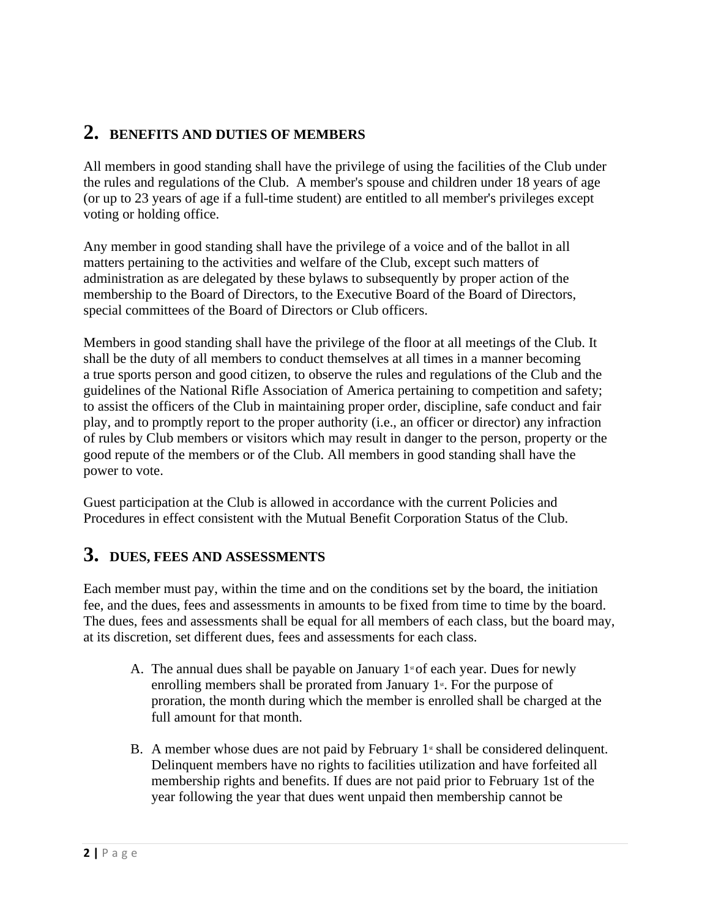## **2. BENEFITS AND DUTIES OF MEMBERS**

All members in good standing shall have the privilege of using the facilities of the Club under the rules and regulations of the Club. A member's spouse and children under 18 years of age (or up to 23 years of age if a full-time student) are entitled to all member's privileges except voting or holding office.

Any member in good standing shall have the privilege of a voice and of the ballot in all matters pertaining to the activities and welfare of the Club, except such matters of administration as are delegated by these bylaws to subsequently by proper action of the membership to the Board of Directors, to the Executive Board of the Board of Directors, special committees of the Board of Directors or Club officers.

Members in good standing shall have the privilege of the floor at all meetings of the Club. It shall be the duty of all members to conduct themselves at all times in a manner becoming a true sports person and good citizen, to observe the rules and regulations of the Club and the guidelines of the National Rifle Association of America pertaining to competition and safety; to assist the officers of the Club in maintaining proper order, discipline, safe conduct and fair play, and to promptly report to the proper authority (i.e., an officer or director) any infraction of rules by Club members or visitors which may result in danger to the person, property or the good repute of the members or of the Club. All members in good standing shall have the power to vote.

Guest participation at the Club is allowed in accordance with the current Policies and Procedures in effect consistent with the Mutual Benefit Corporation Status of the Club.

## **3. DUES, FEES AND ASSESSMENTS**

Each member must pay, within the time and on the conditions set by the board, the initiation fee, and the dues, fees and assessments in amounts to be fixed from time to time by the board. The dues, fees and assessments shall be equal for all members of each class, but the board may, at its discretion, set different dues, fees and assessments for each class.

- A. The annual dues shall be payable on January  $1$ <sup>st</sup> of each year. Dues for newly enrolling members shall be prorated from January  $1<sup>s</sup>$ . For the purpose of proration, the month during which the member is enrolled shall be charged at the full amount for that month.
- B. A member whose dues are not paid by February  $1$ <sup>s</sup> shall be considered delinquent. Delinquent members have no rights to facilities utilization and have forfeited all membership rights and benefits. If dues are not paid prior to February 1st of the year following the year that dues went unpaid then membership cannot be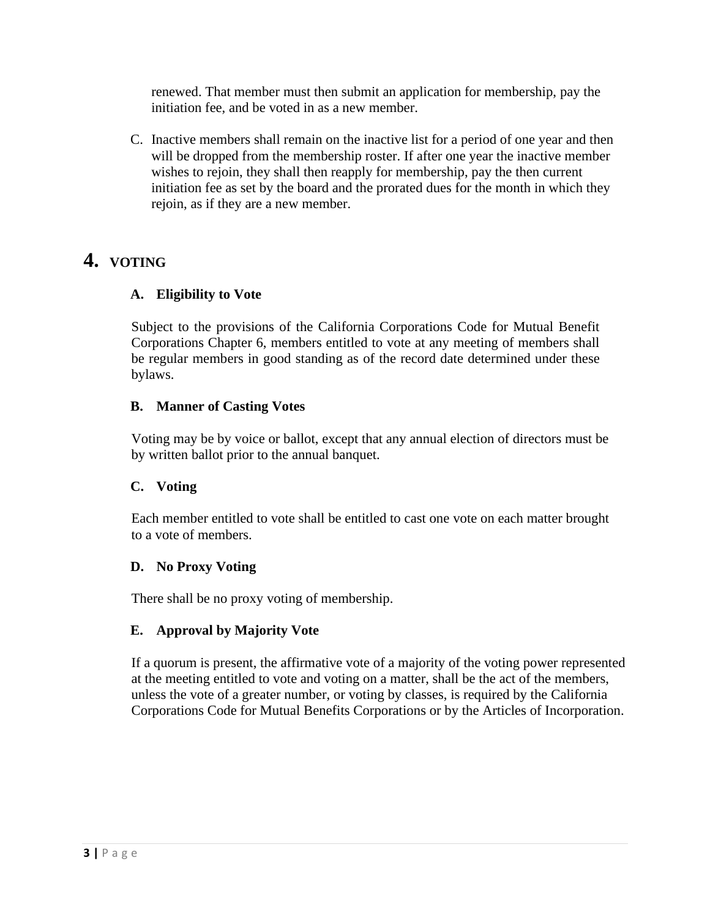renewed. That member must then submit an application for membership, pay the initiation fee, and be voted in as a new member.

C. Inactive members shall remain on the inactive list for a period of one year and then will be dropped from the membership roster. If after one year the inactive member wishes to rejoin, they shall then reapply for membership, pay the then current initiation fee as set by the board and the prorated dues for the month in which they rejoin, as if they are a new member.

# **4. VOTING**

### **A. Eligibility to Vote**

Subject to the provisions of the California Corporations Code for Mutual Benefit Corporations Chapter 6, members entitled to vote at any meeting of members shall be regular members in good standing as of the record date determined under these bylaws.

### **B. Manner of Casting Votes**

Voting may be by voice or ballot, except that any annual election of directors must be by written ballot prior to the annual banquet.

### **C. Voting**

Each member entitled to vote shall be entitled to cast one vote on each matter brought to a vote of members.

### **D. No Proxy Voting**

There shall be no proxy voting of membership.

### **E. Approval by Majority Vote**

If a quorum is present, the affirmative vote of a majority of the voting power represented at the meeting entitled to vote and voting on a matter, shall be the act of the members, unless the vote of a greater number, or voting by classes, is required by the California Corporations Code for Mutual Benefits Corporations or by the Articles of Incorporation.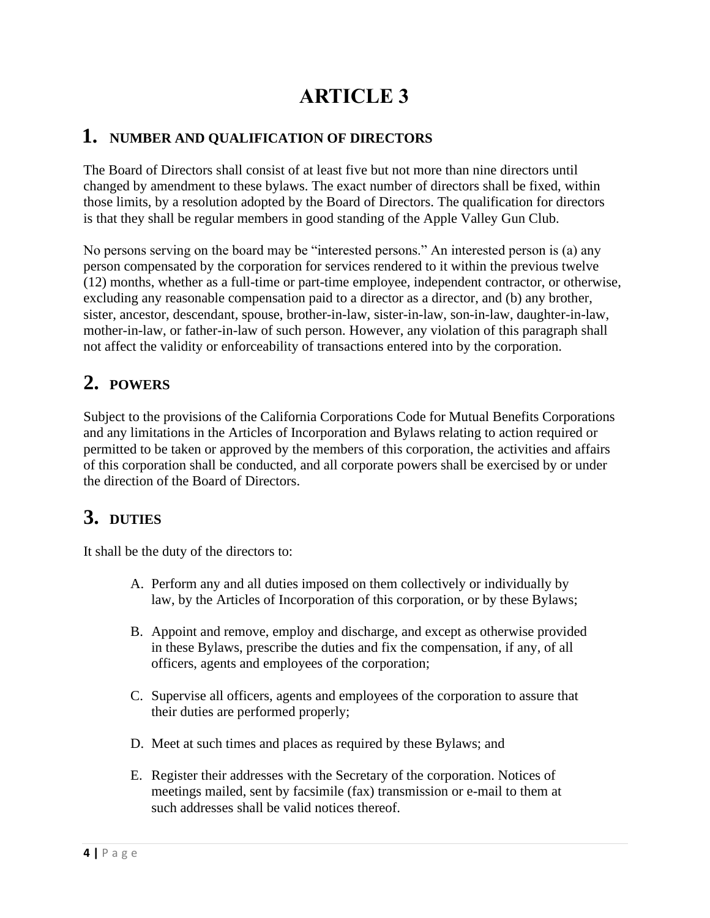# **ARTICLE 3**

### **1. NUMBER AND QUALIFICATION OF DIRECTORS**

The Board of Directors shall consist of at least five but not more than nine directors until changed by amendment to these bylaws. The exact number of directors shall be fixed, within those limits, by a resolution adopted by the Board of Directors. The qualification for directors is that they shall be regular members in good standing of the Apple Valley Gun Club.

No persons serving on the board may be "interested persons." An interested person is (a) any person compensated by the corporation for services rendered to it within the previous twelve (12) months, whether as a full-time or part-time employee, independent contractor, or otherwise, excluding any reasonable compensation paid to a director as a director, and (b) any brother, sister, ancestor, descendant, spouse, brother-in-law, sister-in-law, son-in-law, daughter-in-law, mother-in-law, or father-in-law of such person. However, any violation of this paragraph shall not affect the validity or enforceability of transactions entered into by the corporation.

# **2. POWERS**

Subject to the provisions of the California Corporations Code for Mutual Benefits Corporations and any limitations in the Articles of Incorporation and Bylaws relating to action required or permitted to be taken or approved by the members of this corporation, the activities and affairs of this corporation shall be conducted, and all corporate powers shall be exercised by or under the direction of the Board of Directors.

# **3. DUTIES**

It shall be the duty of the directors to:

- A. Perform any and all duties imposed on them collectively or individually by law, by the Articles of Incorporation of this corporation, or by these Bylaws;
- B. Appoint and remove, employ and discharge, and except as otherwise provided in these Bylaws, prescribe the duties and fix the compensation, if any, of all officers, agents and employees of the corporation;
- C. Supervise all officers, agents and employees of the corporation to assure that their duties are performed properly;
- D. Meet at such times and places as required by these Bylaws; and
- E. Register their addresses with the Secretary of the corporation. Notices of meetings mailed, sent by facsimile (fax) transmission or e-mail to them at such addresses shall be valid notices thereof.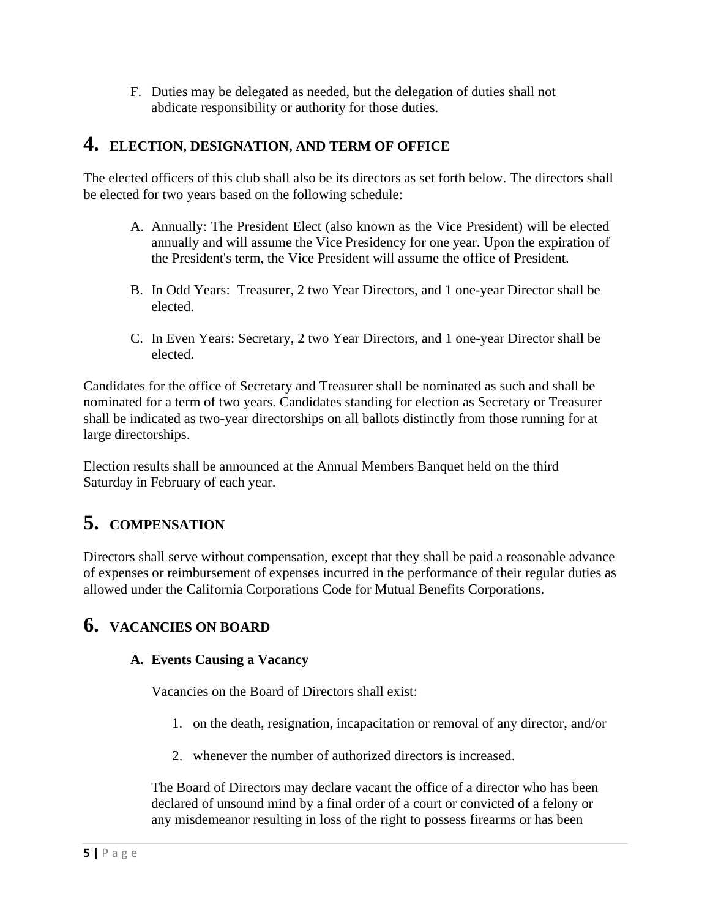F. Duties may be delegated as needed, but the delegation of duties shall not abdicate responsibility or authority for those duties.

### **4. ELECTION, DESIGNATION, AND TERM OF OFFICE**

The elected officers of this club shall also be its directors as set forth below. The directors shall be elected for two years based on the following schedule:

- A. Annually: The President Elect (also known as the Vice President) will be elected annually and will assume the Vice Presidency for one year. Upon the expiration of the President's term, the Vice President will assume the office of President.
- B. In Odd Years: Treasurer, 2 two Year Directors, and 1 one-year Director shall be elected.
- C. In Even Years: Secretary, 2 two Year Directors, and 1 one-year Director shall be elected.

Candidates for the office of Secretary and Treasurer shall be nominated as such and shall be nominated for a term of two years. Candidates standing for election as Secretary or Treasurer shall be indicated as two-year directorships on all ballots distinctly from those running for at large directorships.

Election results shall be announced at the Annual Members Banquet held on the third Saturday in February of each year.

# **5. COMPENSATION**

Directors shall serve without compensation, except that they shall be paid a reasonable advance of expenses or reimbursement of expenses incurred in the performance of their regular duties as allowed under the California Corporations Code for Mutual Benefits Corporations.

## **6. VACANCIES ON BOARD**

#### **A. Events Causing a Vacancy**

Vacancies on the Board of Directors shall exist:

- 1. on the death, resignation, incapacitation or removal of any director, and/or
- 2. whenever the number of authorized directors is increased.

The Board of Directors may declare vacant the office of a director who has been declared of unsound mind by a final order of a court or convicted of a felony or any misdemeanor resulting in loss of the right to possess firearms or has been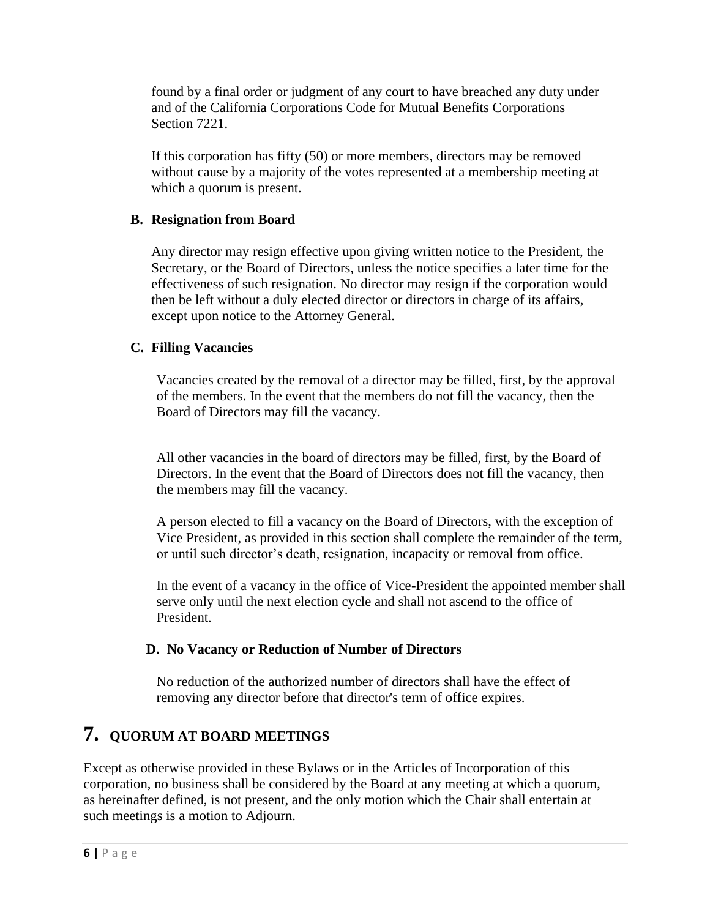found by a final order or judgment of any court to have breached any duty under and of the California Corporations Code for Mutual Benefits Corporations Section 7221.

If this corporation has fifty (50) or more members, directors may be removed without cause by a majority of the votes represented at a membership meeting at which a quorum is present.

#### **B. Resignation from Board**

Any director may resign effective upon giving written notice to the President, the Secretary, or the Board of Directors, unless the notice specifies a later time for the effectiveness of such resignation. No director may resign if the corporation would then be left without a duly elected director or directors in charge of its affairs, except upon notice to the Attorney General.

#### **C. Filling Vacancies**

Vacancies created by the removal of a director may be filled, first, by the approval of the members. In the event that the members do not fill the vacancy, then the Board of Directors may fill the vacancy.

All other vacancies in the board of directors may be filled, first, by the Board of Directors. In the event that the Board of Directors does not fill the vacancy, then the members may fill the vacancy.

A person elected to fill a vacancy on the Board of Directors, with the exception of Vice President, as provided in this section shall complete the remainder of the term, or until such director's death, resignation, incapacity or removal from office.

In the event of a vacancy in the office of Vice-President the appointed member shall serve only until the next election cycle and shall not ascend to the office of President.

#### **D. No Vacancy or Reduction of Number of Directors**

No reduction of the authorized number of directors shall have the effect of removing any director before that director's term of office expires.

## **7. QUORUM AT BOARD MEETINGS**

Except as otherwise provided in these Bylaws or in the Articles of Incorporation of this corporation, no business shall be considered by the Board at any meeting at which a quorum, as hereinafter defined, is not present, and the only motion which the Chair shall entertain at such meetings is a motion to Adjourn.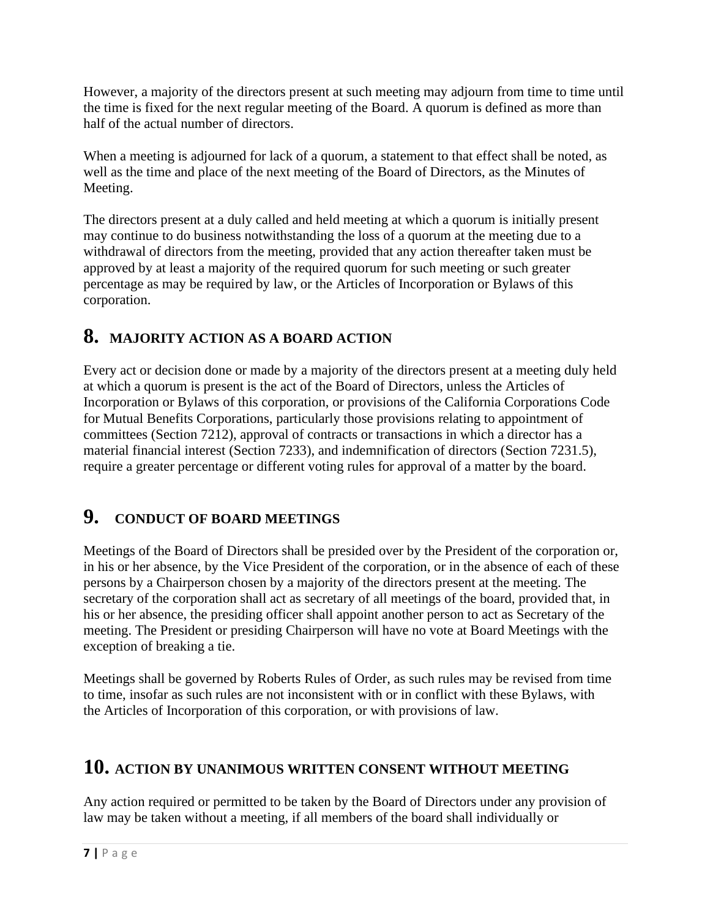However, a majority of the directors present at such meeting may adjourn from time to time until the time is fixed for the next regular meeting of the Board. A quorum is defined as more than half of the actual number of directors.

When a meeting is adjourned for lack of a quorum, a statement to that effect shall be noted, as well as the time and place of the next meeting of the Board of Directors, as the Minutes of Meeting.

The directors present at a duly called and held meeting at which a quorum is initially present may continue to do business notwithstanding the loss of a quorum at the meeting due to a withdrawal of directors from the meeting, provided that any action thereafter taken must be approved by at least a majority of the required quorum for such meeting or such greater percentage as may be required by law, or the Articles of Incorporation or Bylaws of this corporation.

# **8. MAJORITY ACTION AS A BOARD ACTION**

Every act or decision done or made by a majority of the directors present at a meeting duly held at which a quorum is present is the act of the Board of Directors, unless the Articles of Incorporation or Bylaws of this corporation, or provisions of the California Corporations Code for Mutual Benefits Corporations, particularly those provisions relating to appointment of committees (Section 7212), approval of contracts or transactions in which a director has a material financial interest (Section 7233), and indemnification of directors (Section 7231.5), require a greater percentage or different voting rules for approval of a matter by the board.

# **9. CONDUCT OF BOARD MEETINGS**

Meetings of the Board of Directors shall be presided over by the President of the corporation or, in his or her absence, by the Vice President of the corporation, or in the absence of each of these persons by a Chairperson chosen by a majority of the directors present at the meeting. The secretary of the corporation shall act as secretary of all meetings of the board, provided that, in his or her absence, the presiding officer shall appoint another person to act as Secretary of the meeting. The President or presiding Chairperson will have no vote at Board Meetings with the exception of breaking a tie.

Meetings shall be governed by Roberts Rules of Order, as such rules may be revised from time to time, insofar as such rules are not inconsistent with or in conflict with these Bylaws, with the Articles of Incorporation of this corporation, or with provisions of law.

## **10. ACTION BY UNANIMOUS WRITTEN CONSENT WITHOUT MEETING**

Any action required or permitted to be taken by the Board of Directors under any provision of law may be taken without a meeting, if all members of the board shall individually or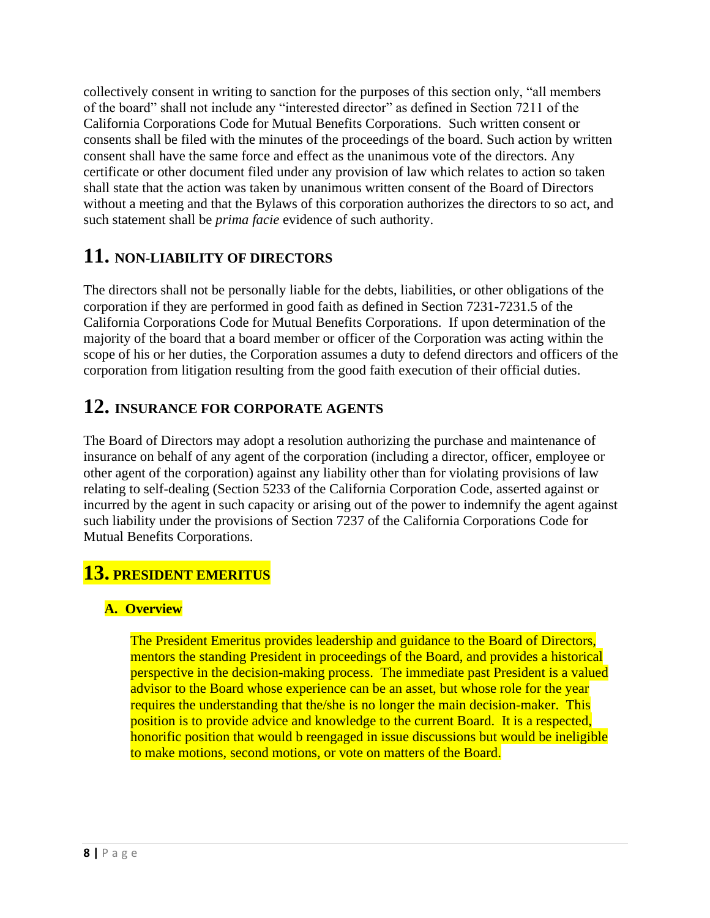collectively consent in writing to sanction for the purposes of this section only, "all members of the board" shall not include any "interested director" as defined in Section 7211 of the California Corporations Code for Mutual Benefits Corporations. Such written consent or consents shall be filed with the minutes of the proceedings of the board. Such action by written consent shall have the same force and effect as the unanimous vote of the directors. Any certificate or other document filed under any provision of law which relates to action so taken shall state that the action was taken by unanimous written consent of the Board of Directors without a meeting and that the Bylaws of this corporation authorizes the directors to so act, and such statement shall be *prima facie* evidence of such authority.

# **11. NON-LIABILITY OF DIRECTORS**

The directors shall not be personally liable for the debts, liabilities, or other obligations of the corporation if they are performed in good faith as defined in Section 7231-7231.5 of the California Corporations Code for Mutual Benefits Corporations. If upon determination of the majority of the board that a board member or officer of the Corporation was acting within the scope of his or her duties, the Corporation assumes a duty to defend directors and officers of the corporation from litigation resulting from the good faith execution of their official duties.

## **12. INSURANCE FOR CORPORATE AGENTS**

The Board of Directors may adopt a resolution authorizing the purchase and maintenance of insurance on behalf of any agent of the corporation (including a director, officer, employee or other agent of the corporation) against any liability other than for violating provisions of law relating to self-dealing (Section 5233 of the California Corporation Code, asserted against or incurred by the agent in such capacity or arising out of the power to indemnify the agent against such liability under the provisions of Section 7237 of the California Corporations Code for Mutual Benefits Corporations.

# **13. PRESIDENT EMERITUS**

### **A. Overview**

The President Emeritus provides leadership and guidance to the Board of Directors, mentors the standing President in proceedings of the Board, and provides a historical perspective in the decision-making process. The immediate past President is a valued advisor to the Board whose experience can be an asset, but whose role for the year requires the understanding that the/she is no longer the main decision-maker. This position is to provide advice and knowledge to the current Board. It is a respected, honorific position that would b reengaged in issue discussions but would be ineligible to make motions, second motions, or vote on matters of the Board.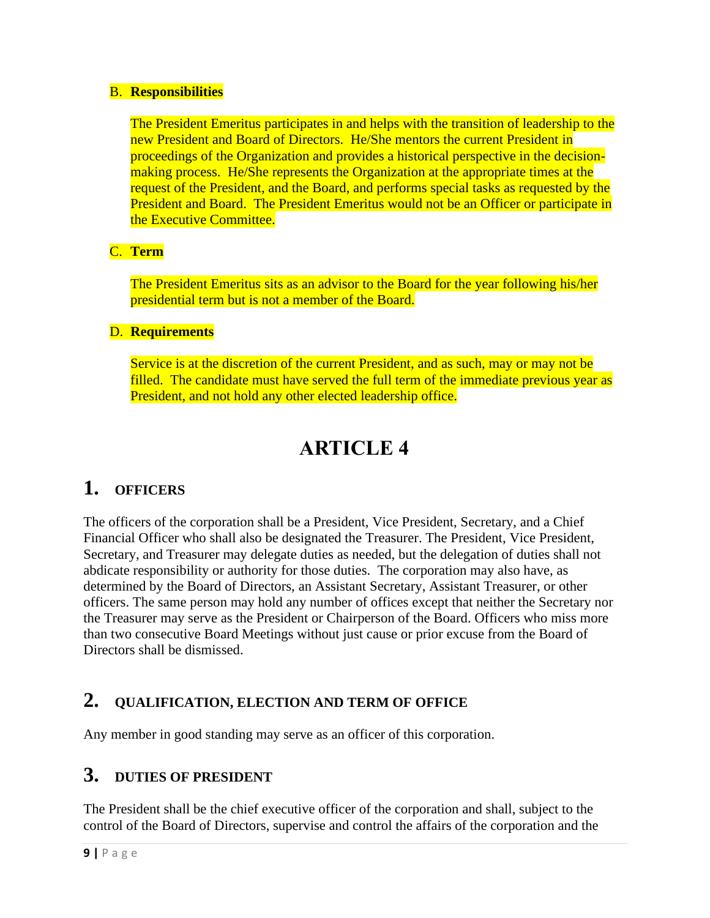#### B. **Responsibilities**

The President Emeritus participates in and helps with the transition of leadership to the new President and Board of Directors. He/She mentors the current President in proceedings of the Organization and provides a historical perspective in the decisionmaking process. He/She represents the Organization at the appropriate times at the request of the President, and the Board, and performs special tasks as requested by the President and Board. The President Emeritus would not be an Officer or participate in the Executive Committee.

#### C. **Term**

The President Emeritus sits as an advisor to the Board for the year following his/her presidential term but is not a member of the Board.

#### D. **Requirements**

Service is at the discretion of the current President, and as such, may or may not be filled. The candidate must have served the full term of the immediate previous year as President, and not hold any other elected leadership office.

# **ARTICLE 4**

## **1. OFFICERS**

The officers of the corporation shall be a President, Vice President, Secretary, and a Chief Financial Officer who shall also be designated the Treasurer. The President, Vice President, Secretary, and Treasurer may delegate duties as needed, but the delegation of duties shall not abdicate responsibility or authority for those duties. The corporation may also have, as determined by the Board of Directors, an Assistant Secretary, Assistant Treasurer, or other officers. The same person may hold any number of offices except that neither the Secretary nor the Treasurer may serve as the President or Chairperson of the Board. Officers who miss more than two consecutive Board Meetings without just cause or prior excuse from the Board of Directors shall be dismissed.

## **2. QUALIFICATION, ELECTION AND TERM OF OFFICE**

Any member in good standing may serve as an officer of this corporation.

## **3. DUTIES OF PRESIDENT**

The President shall be the chief executive officer of the corporation and shall, subject to the control of the Board of Directors, supervise and control the affairs of the corporation and the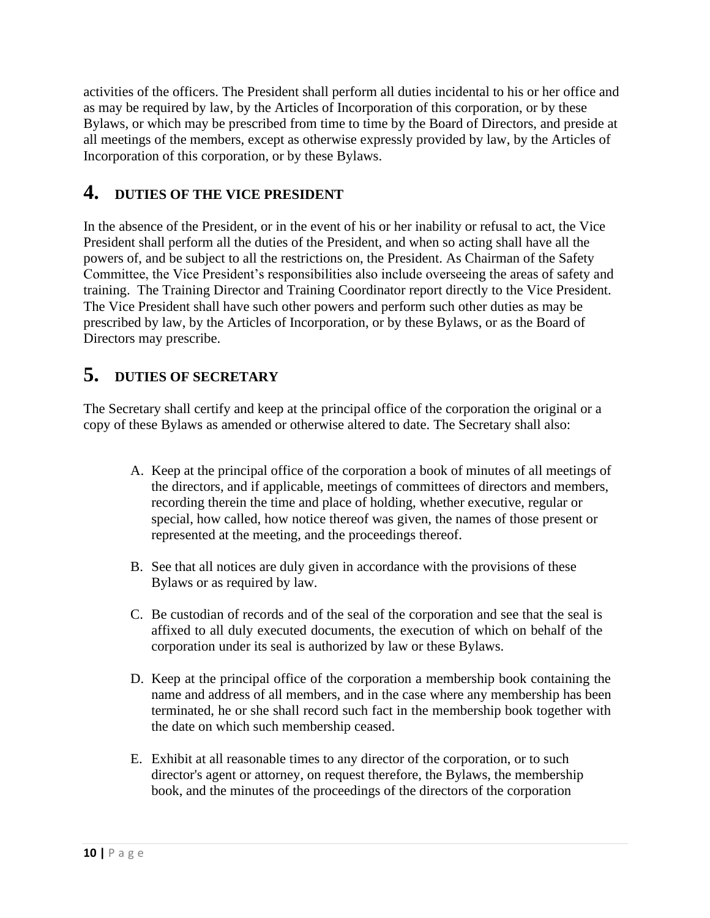activities of the officers. The President shall perform all duties incidental to his or her office and as may be required by law, by the Articles of Incorporation of this corporation, or by these Bylaws, or which may be prescribed from time to time by the Board of Directors, and preside at all meetings of the members, except as otherwise expressly provided by law, by the Articles of Incorporation of this corporation, or by these Bylaws.

## **4. DUTIES OF THE VICE PRESIDENT**

In the absence of the President, or in the event of his or her inability or refusal to act, the Vice President shall perform all the duties of the President, and when so acting shall have all the powers of, and be subject to all the restrictions on, the President. As Chairman of the Safety Committee, the Vice President's responsibilities also include overseeing the areas of safety and training. The Training Director and Training Coordinator report directly to the Vice President. The Vice President shall have such other powers and perform such other duties as may be prescribed by law, by the Articles of Incorporation, or by these Bylaws, or as the Board of Directors may prescribe.

# **5. DUTIES OF SECRETARY**

The Secretary shall certify and keep at the principal office of the corporation the original or a copy of these Bylaws as amended or otherwise altered to date. The Secretary shall also:

- A. Keep at the principal office of the corporation a book of minutes of all meetings of the directors, and if applicable, meetings of committees of directors and members, recording therein the time and place of holding, whether executive, regular or special, how called, how notice thereof was given, the names of those present or represented at the meeting, and the proceedings thereof.
- B. See that all notices are duly given in accordance with the provisions of these Bylaws or as required by law.
- C. Be custodian of records and of the seal of the corporation and see that the seal is affixed to all duly executed documents, the execution of which on behalf of the corporation under its seal is authorized by law or these Bylaws.
- D. Keep at the principal office of the corporation a membership book containing the name and address of all members, and in the case where any membership has been terminated, he or she shall record such fact in the membership book together with the date on which such membership ceased.
- E. Exhibit at all reasonable times to any director of the corporation, or to such director's agent or attorney, on request therefore, the Bylaws, the membership book, and the minutes of the proceedings of the directors of the corporation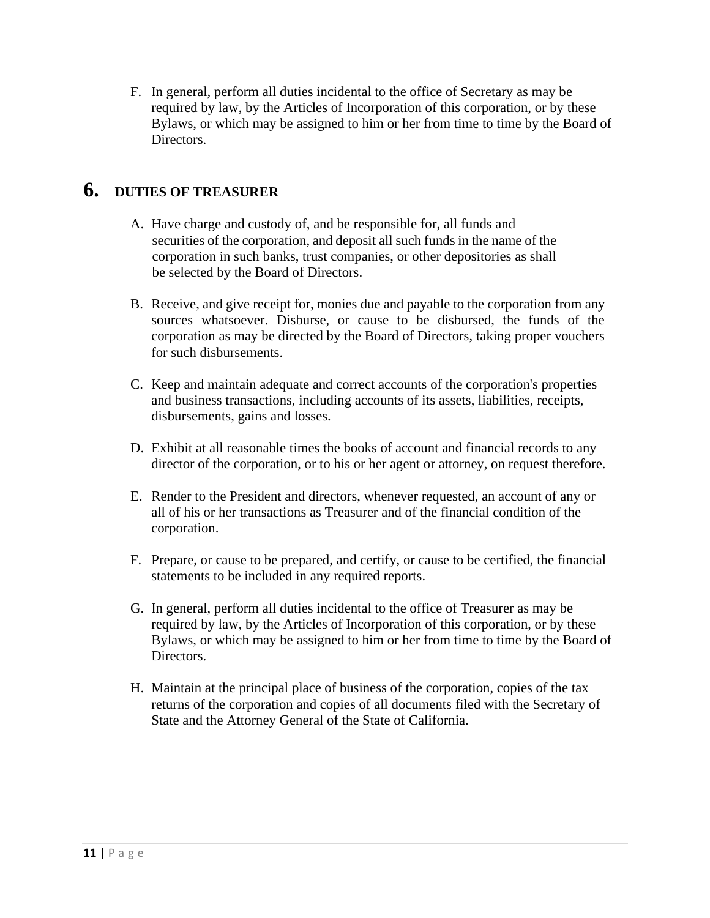F. In general, perform all duties incidental to the office of Secretary as may be required by law, by the Articles of Incorporation of this corporation, or by these Bylaws, or which may be assigned to him or her from time to time by the Board of Directors.

# **6. DUTIES OF TREASURER**

- A. Have charge and custody of, and be responsible for, all funds and securities of the corporation, and deposit all such funds in the name of the corporation in such banks, trust companies, or other depositories as shall be selected by the Board of Directors.
- B. Receive, and give receipt for, monies due and payable to the corporation from any sources whatsoever. Disburse, or cause to be disbursed, the funds of the corporation as may be directed by the Board of Directors, taking proper vouchers for such disbursements.
- C. Keep and maintain adequate and correct accounts of the corporation's properties and business transactions, including accounts of its assets, liabilities, receipts, disbursements, gains and losses.
- D. Exhibit at all reasonable times the books of account and financial records to any director of the corporation, or to his or her agent or attorney, on request therefore.
- E. Render to the President and directors, whenever requested, an account of any or all of his or her transactions as Treasurer and of the financial condition of the corporation.
- F. Prepare, or cause to be prepared, and certify, or cause to be certified, the financial statements to be included in any required reports.
- G. In general, perform all duties incidental to the office of Treasurer as may be required by law, by the Articles of Incorporation of this corporation, or by these Bylaws, or which may be assigned to him or her from time to time by the Board of Directors.
- H. Maintain at the principal place of business of the corporation, copies of the tax returns of the corporation and copies of all documents filed with the Secretary of State and the Attorney General of the State of California.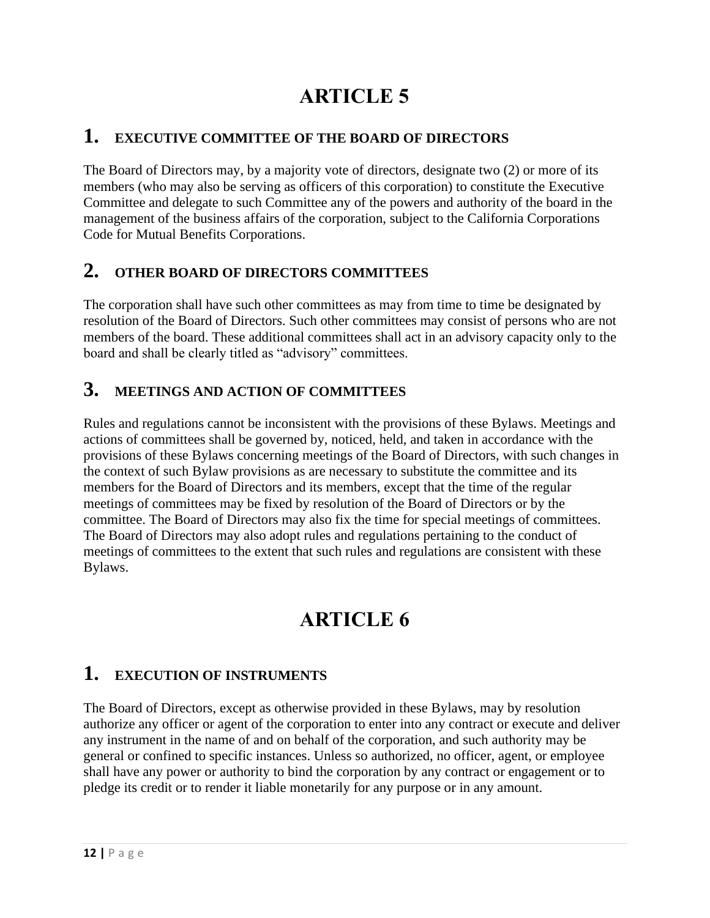# **ARTICLE 5**

## **1. EXECUTIVE COMMITTEE OF THE BOARD OF DIRECTORS**

The Board of Directors may, by a majority vote of directors, designate two (2) or more of its members (who may also be serving as officers of this corporation) to constitute the Executive Committee and delegate to such Committee any of the powers and authority of the board in the management of the business affairs of the corporation, subject to the California Corporations Code for Mutual Benefits Corporations.

## **2. OTHER BOARD OF DIRECTORS COMMITTEES**

The corporation shall have such other committees as may from time to time be designated by resolution of the Board of Directors. Such other committees may consist of persons who are not members of the board. These additional committees shall act in an advisory capacity only to the board and shall be clearly titled as "advisory" committees.

# **3. MEETINGS AND ACTION OF COMMITTEES**

Rules and regulations cannot be inconsistent with the provisions of these Bylaws. Meetings and actions of committees shall be governed by, noticed, held, and taken in accordance with the provisions of these Bylaws concerning meetings of the Board of Directors, with such changes in the context of such Bylaw provisions as are necessary to substitute the committee and its members for the Board of Directors and its members, except that the time of the regular meetings of committees may be fixed by resolution of the Board of Directors or by the committee. The Board of Directors may also fix the time for special meetings of committees. The Board of Directors may also adopt rules and regulations pertaining to the conduct of meetings of committees to the extent that such rules and regulations are consistent with these Bylaws.

# **ARTICLE 6**

## **1. EXECUTION OF INSTRUMENTS**

The Board of Directors, except as otherwise provided in these Bylaws, may by resolution authorize any officer or agent of the corporation to enter into any contract or execute and deliver any instrument in the name of and on behalf of the corporation, and such authority may be general or confined to specific instances. Unless so authorized, no officer, agent, or employee shall have any power or authority to bind the corporation by any contract or engagement or to pledge its credit or to render it liable monetarily for any purpose or in any amount.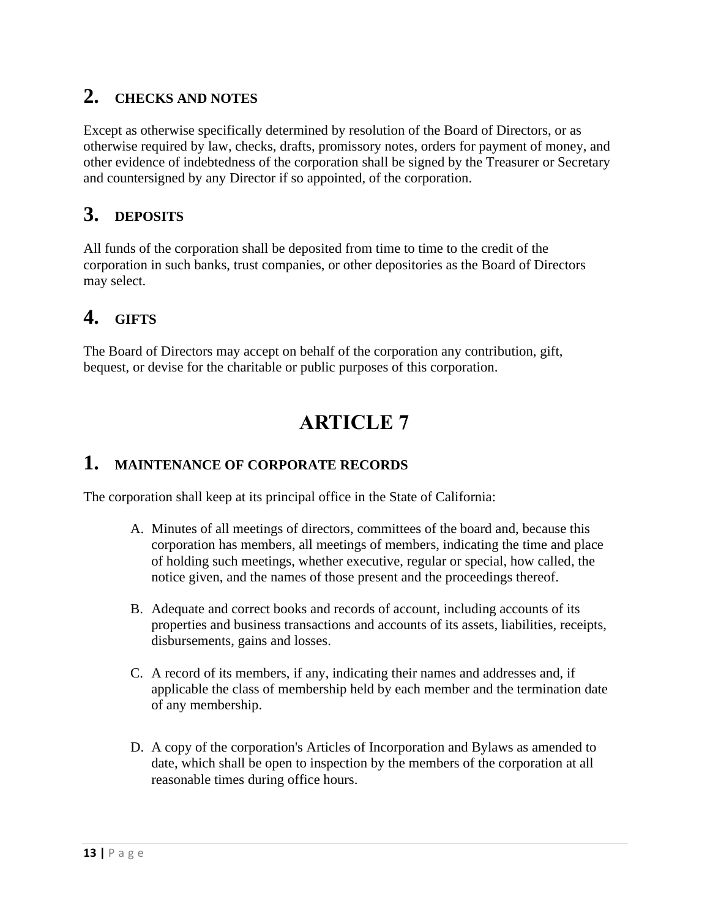# **2. CHECKS AND NOTES**

Except as otherwise specifically determined by resolution of the Board of Directors, or as otherwise required by law, checks, drafts, promissory notes, orders for payment of money, and other evidence of indebtedness of the corporation shall be signed by the Treasurer or Secretary and countersigned by any Director if so appointed, of the corporation.

# **3. DEPOSITS**

All funds of the corporation shall be deposited from time to time to the credit of the corporation in such banks, trust companies, or other depositories as the Board of Directors may select.

# **4. GIFTS**

The Board of Directors may accept on behalf of the corporation any contribution, gift, bequest, or devise for the charitable or public purposes of this corporation.

# **ARTICLE 7**

## **1. MAINTENANCE OF CORPORATE RECORDS**

The corporation shall keep at its principal office in the State of California:

- A. Minutes of all meetings of directors, committees of the board and, because this corporation has members, all meetings of members, indicating the time and place of holding such meetings, whether executive, regular or special, how called, the notice given, and the names of those present and the proceedings thereof.
- B. Adequate and correct books and records of account, including accounts of its properties and business transactions and accounts of its assets, liabilities, receipts, disbursements, gains and losses.
- C. A record of its members, if any, indicating their names and addresses and, if applicable the class of membership held by each member and the termination date of any membership.
- D. A copy of the corporation's Articles of Incorporation and Bylaws as amended to date, which shall be open to inspection by the members of the corporation at all reasonable times during office hours.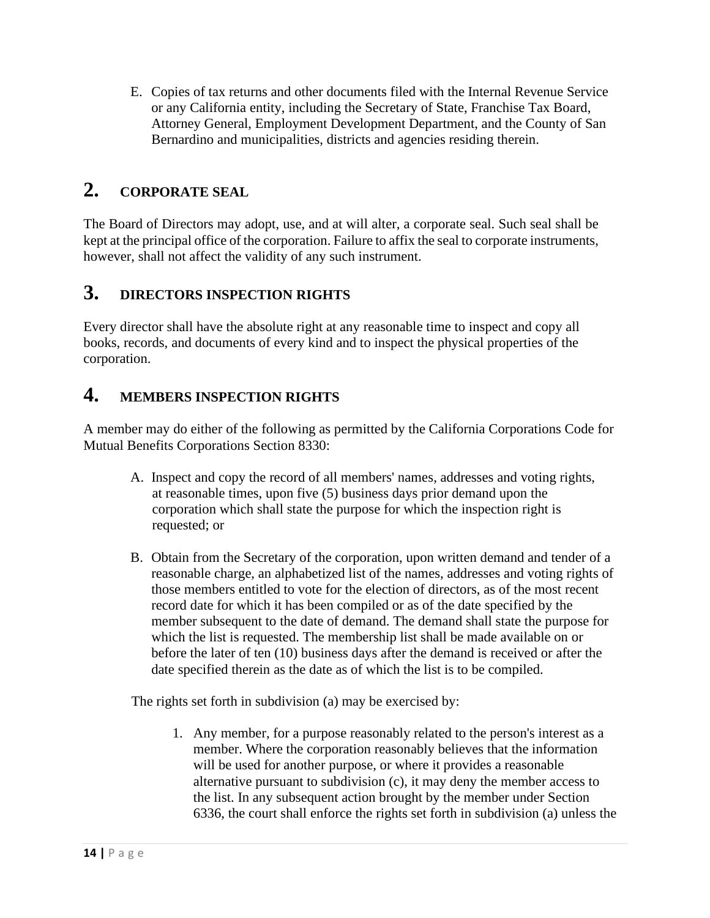E. Copies of tax returns and other documents filed with the Internal Revenue Service or any California entity, including the Secretary of State, Franchise Tax Board, Attorney General, Employment Development Department, and the County of San Bernardino and municipalities, districts and agencies residing therein.

# **2. CORPORATE SEAL**

The Board of Directors may adopt, use, and at will alter, a corporate seal. Such seal shall be kept at the principal office of the corporation. Failure to affix the seal to corporate instruments, however, shall not affect the validity of any such instrument.

## **3. DIRECTORS INSPECTION RIGHTS**

Every director shall have the absolute right at any reasonable time to inspect and copy all books, records, and documents of every kind and to inspect the physical properties of the corporation.

## **4. MEMBERS INSPECTION RIGHTS**

A member may do either of the following as permitted by the California Corporations Code for Mutual Benefits Corporations Section 8330:

- A. Inspect and copy the record of all members' names, addresses and voting rights, at reasonable times, upon five (5) business days prior demand upon the corporation which shall state the purpose for which the inspection right is requested; or
- B. Obtain from the Secretary of the corporation, upon written demand and tender of a reasonable charge, an alphabetized list of the names, addresses and voting rights of those members entitled to vote for the election of directors, as of the most recent record date for which it has been compiled or as of the date specified by the member subsequent to the date of demand. The demand shall state the purpose for which the list is requested. The membership list shall be made available on or before the later of ten (10) business days after the demand is received or after the date specified therein as the date as of which the list is to be compiled.

The rights set forth in subdivision (a) may be exercised by:

1. Any member, for a purpose reasonably related to the person's interest as a member. Where the corporation reasonably believes that the information will be used for another purpose, or where it provides a reasonable alternative pursuant to subdivision (c), it may deny the member access to the list. In any subsequent action brought by the member under Section 6336, the court shall enforce the rights set forth in subdivision (a) unless the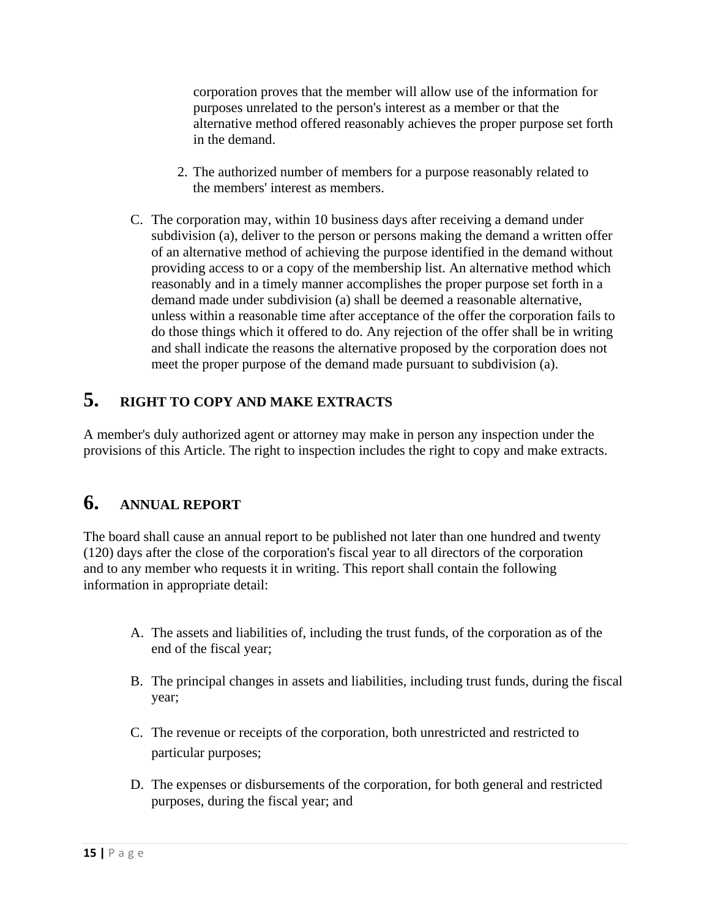corporation proves that the member will allow use of the information for purposes unrelated to the person's interest as a member or that the alternative method offered reasonably achieves the proper purpose set forth in the demand.

- 2. The authorized number of members for a purpose reasonably related to the members' interest as members.
- C. The corporation may, within 10 business days after receiving a demand under subdivision (a), deliver to the person or persons making the demand a written offer of an alternative method of achieving the purpose identified in the demand without providing access to or a copy of the membership list. An alternative method which reasonably and in a timely manner accomplishes the proper purpose set forth in a demand made under subdivision (a) shall be deemed a reasonable alternative, unless within a reasonable time after acceptance of the offer the corporation fails to do those things which it offered to do. Any rejection of the offer shall be in writing and shall indicate the reasons the alternative proposed by the corporation does not meet the proper purpose of the demand made pursuant to subdivision (a).

# **5. RIGHT TO COPY AND MAKE EXTRACTS**

A member's duly authorized agent or attorney may make in person any inspection under the provisions of this Article. The right to inspection includes the right to copy and make extracts.

## **6. ANNUAL REPORT**

The board shall cause an annual report to be published not later than one hundred and twenty (120) days after the close of the corporation's fiscal year to all directors of the corporation and to any member who requests it in writing. This report shall contain the following information in appropriate detail:

- A. The assets and liabilities of, including the trust funds, of the corporation as of the end of the fiscal year;
- B. The principal changes in assets and liabilities, including trust funds, during the fiscal year;
- C. The revenue or receipts of the corporation, both unrestricted and restricted to particular purposes;
- D. The expenses or disbursements of the corporation, for both general and restricted purposes, during the fiscal year; and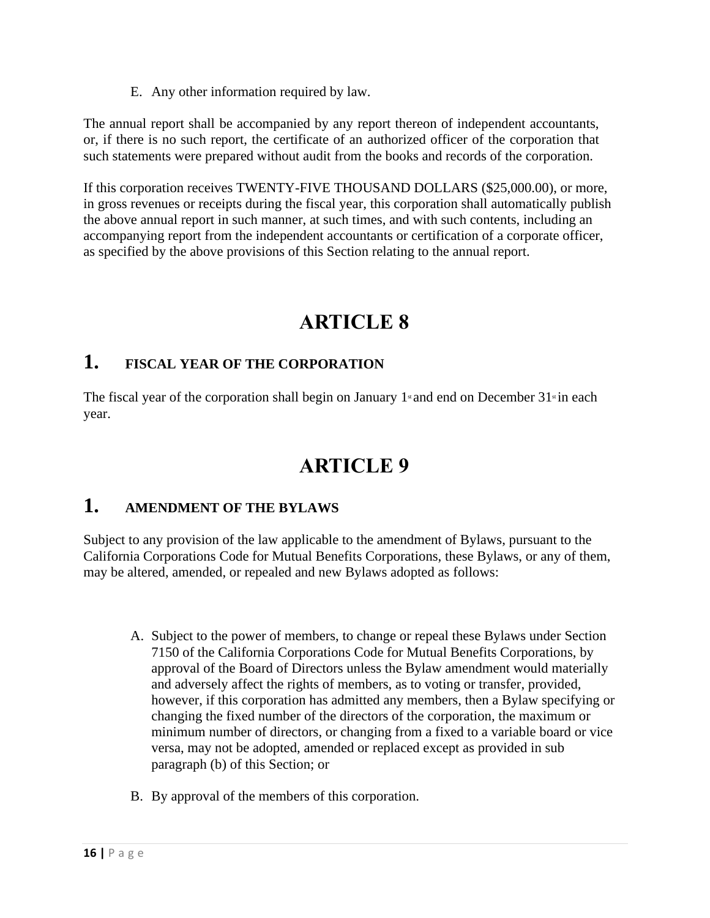E. Any other information required by law.

The annual report shall be accompanied by any report thereon of independent accountants, or, if there is no such report, the certificate of an authorized officer of the corporation that such statements were prepared without audit from the books and records of the corporation.

If this corporation receives TWENTY-FIVE THOUSAND DOLLARS (\$25,000.00), or more, in gross revenues or receipts during the fiscal year, this corporation shall automatically publish the above annual report in such manner, at such times, and with such contents, including an accompanying report from the independent accountants or certification of a corporate officer, as specified by the above provisions of this Section relating to the annual report.

# **ARTICLE 8**

### **1. FISCAL YEAR OF THE CORPORATION**

The fiscal year of the corporation shall begin on January 1 and end on December  $31$  in each year.

# **ARTICLE 9**

### **1. AMENDMENT OF THE BYLAWS**

Subject to any provision of the law applicable to the amendment of Bylaws, pursuant to the California Corporations Code for Mutual Benefits Corporations, these Bylaws, or any of them, may be altered, amended, or repealed and new Bylaws adopted as follows:

- A. Subject to the power of members, to change or repeal these Bylaws under Section 7150 of the California Corporations Code for Mutual Benefits Corporations, by approval of the Board of Directors unless the Bylaw amendment would materially and adversely affect the rights of members, as to voting or transfer, provided, however, if this corporation has admitted any members, then a Bylaw specifying or changing the fixed number of the directors of the corporation, the maximum or minimum number of directors, or changing from a fixed to a variable board or vice versa, may not be adopted, amended or replaced except as provided in sub paragraph (b) of this Section; or
- B. By approval of the members of this corporation.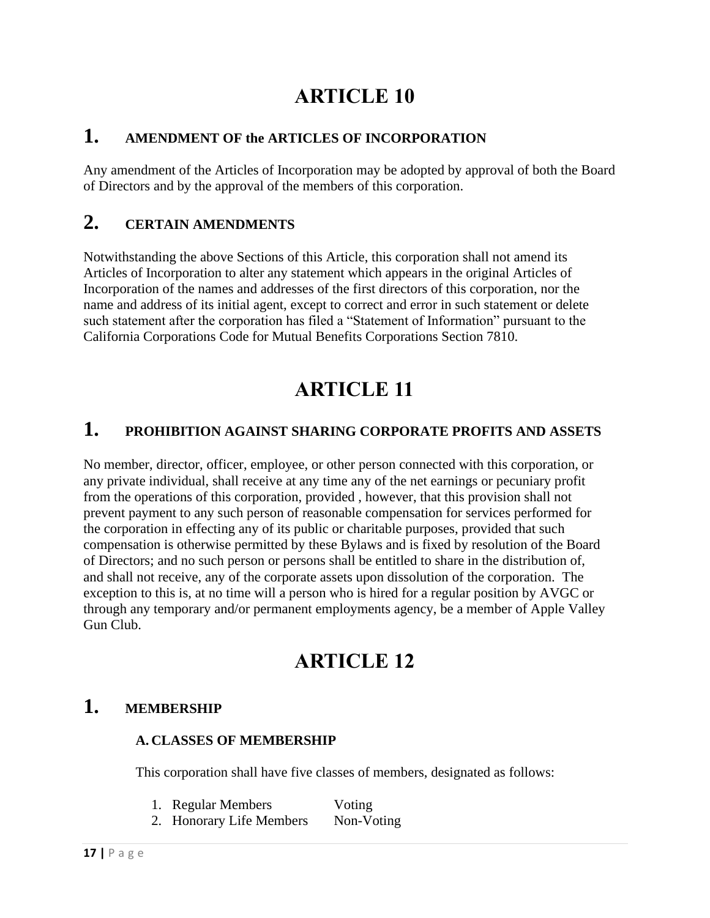# **ARTICLE 10**

## **1. AMENDMENT OF the ARTICLES OF INCORPORATION**

Any amendment of the Articles of Incorporation may be adopted by approval of both the Board of Directors and by the approval of the members of this corporation.

### **2. CERTAIN AMENDMENTS**

Notwithstanding the above Sections of this Article, this corporation shall not amend its Articles of Incorporation to alter any statement which appears in the original Articles of Incorporation of the names and addresses of the first directors of this corporation, nor the name and address of its initial agent, except to correct and error in such statement or delete such statement after the corporation has filed a "Statement of Information" pursuant to the California Corporations Code for Mutual Benefits Corporations Section 7810.

# **ARTICLE 11**

## **1. PROHIBITION AGAINST SHARING CORPORATE PROFITS AND ASSETS**

No member, director, officer, employee, or other person connected with this corporation, or any private individual, shall receive at any time any of the net earnings or pecuniary profit from the operations of this corporation, provided , however, that this provision shall not prevent payment to any such person of reasonable compensation for services performed for the corporation in effecting any of its public or charitable purposes, provided that such compensation is otherwise permitted by these Bylaws and is fixed by resolution of the Board of Directors; and no such person or persons shall be entitled to share in the distribution of, and shall not receive, any of the corporate assets upon dissolution of the corporation. The exception to this is, at no time will a person who is hired for a regular position by AVGC or through any temporary and/or permanent employments agency, be a member of Apple Valley Gun Club.

# **ARTICLE 12**

## **1. MEMBERSHIP**

#### **A. CLASSES OF MEMBERSHIP**

This corporation shall have five classes of members, designated as follows:

- 1. Regular Members Voting
- 2. Honorary Life Members Non-Voting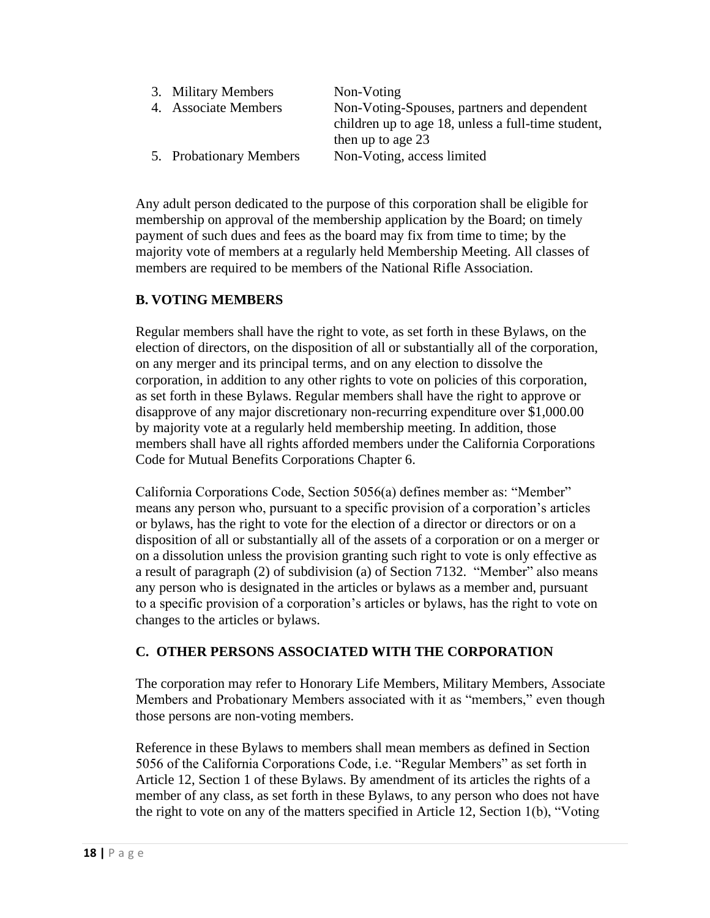| 3. Military Members     | Non-Voting                                         |
|-------------------------|----------------------------------------------------|
| 4. Associate Members    | Non-Voting-Spouses, partners and dependent         |
|                         | children up to age 18, unless a full-time student, |
|                         | then up to age 23                                  |
| 5. Probationary Members | Non-Voting, access limited                         |

Any adult person dedicated to the purpose of this corporation shall be eligible for membership on approval of the membership application by the Board; on timely payment of such dues and fees as the board may fix from time to time; by the majority vote of members at a regularly held Membership Meeting. All classes of members are required to be members of the National Rifle Association.

#### **B. VOTING MEMBERS**

Regular members shall have the right to vote, as set forth in these Bylaws, on the election of directors, on the disposition of all or substantially all of the corporation, on any merger and its principal terms, and on any election to dissolve the corporation, in addition to any other rights to vote on policies of this corporation, as set forth in these Bylaws. Regular members shall have the right to approve or disapprove of any major discretionary non-recurring expenditure over \$1,000.00 by majority vote at a regularly held membership meeting. In addition, those members shall have all rights afforded members under the California Corporations Code for Mutual Benefits Corporations Chapter 6.

California Corporations Code, Section 5056(a) defines member as: "Member" means any person who, pursuant to a specific provision of a corporation's articles or bylaws, has the right to vote for the election of a director or directors or on a disposition of all or substantially all of the assets of a corporation or on a merger or on a dissolution unless the provision granting such right to vote is only effective as a result of paragraph (2) of subdivision (a) of Section 7132. "Member" also means any person who is designated in the articles or bylaws as a member and, pursuant to a specific provision of a corporation's articles or bylaws, has the right to vote on changes to the articles or bylaws.

### **C. OTHER PERSONS ASSOCIATED WITH THE CORPORATION**

The corporation may refer to Honorary Life Members, Military Members, Associate Members and Probationary Members associated with it as "members," even though those persons are non-voting members.

Reference in these Bylaws to members shall mean members as defined in Section 5056 of the California Corporations Code, i.e. "Regular Members" as set forth in Article 12, Section 1 of these Bylaws. By amendment of its articles the rights of a member of any class, as set forth in these Bylaws, to any person who does not have the right to vote on any of the matters specified in Article 12, Section 1(b), "Voting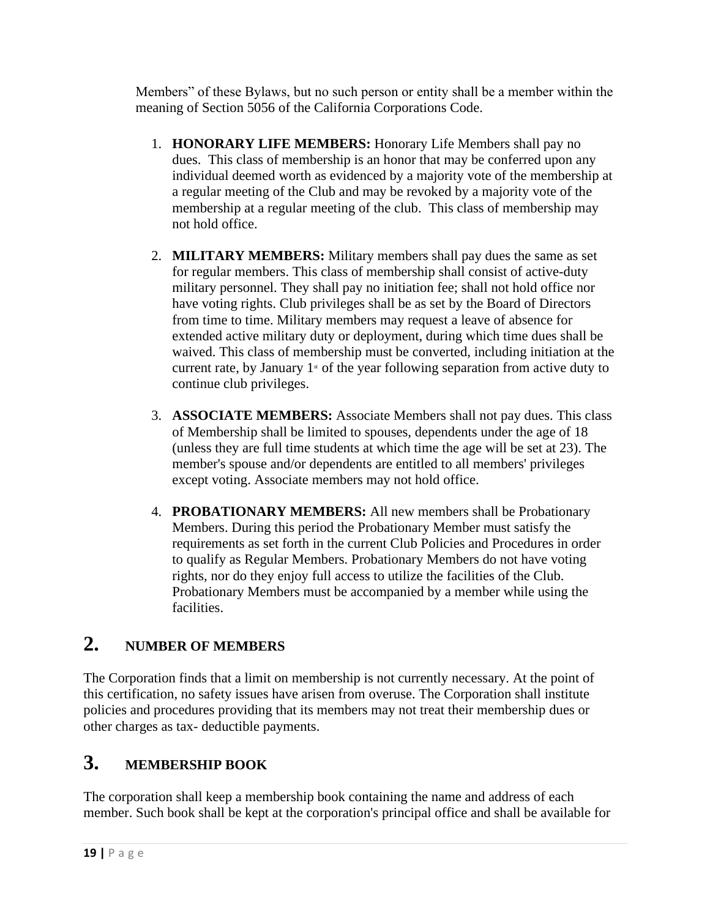Members" of these Bylaws, but no such person or entity shall be a member within the meaning of Section 5056 of the California Corporations Code.

- 1. **HONORARY LIFE MEMBERS:** Honorary Life Members shall pay no dues. This class of membership is an honor that may be conferred upon any individual deemed worth as evidenced by a majority vote of the membership at a regular meeting of the Club and may be revoked by a majority vote of the membership at a regular meeting of the club. This class of membership may not hold office.
- 2. **MILITARY MEMBERS:** Military members shall pay dues the same as set for regular members. This class of membership shall consist of active-duty military personnel. They shall pay no initiation fee; shall not hold office nor have voting rights. Club privileges shall be as set by the Board of Directors from time to time. Military members may request a leave of absence for extended active military duty or deployment, during which time dues shall be waived. This class of membership must be converted, including initiation at the current rate, by January  $1$ <sup>st</sup> of the year following separation from active duty to continue club privileges.
- 3. **ASSOCIATE MEMBERS:** Associate Members shall not pay dues. This class of Membership shall be limited to spouses, dependents under the age of 18 (unless they are full time students at which time the age will be set at 23). The member's spouse and/or dependents are entitled to all members' privileges except voting. Associate members may not hold office.
- 4. **PROBATIONARY MEMBERS:** All new members shall be Probationary Members. During this period the Probationary Member must satisfy the requirements as set forth in the current Club Policies and Procedures in order to qualify as Regular Members. Probationary Members do not have voting rights, nor do they enjoy full access to utilize the facilities of the Club. Probationary Members must be accompanied by a member while using the facilities.

## **2. NUMBER OF MEMBERS**

The Corporation finds that a limit on membership is not currently necessary. At the point of this certification, no safety issues have arisen from overuse. The Corporation shall institute policies and procedures providing that its members may not treat their membership dues or other charges as tax- deductible payments.

# **3. MEMBERSHIP BOOK**

The corporation shall keep a membership book containing the name and address of each member. Such book shall be kept at the corporation's principal office and shall be available for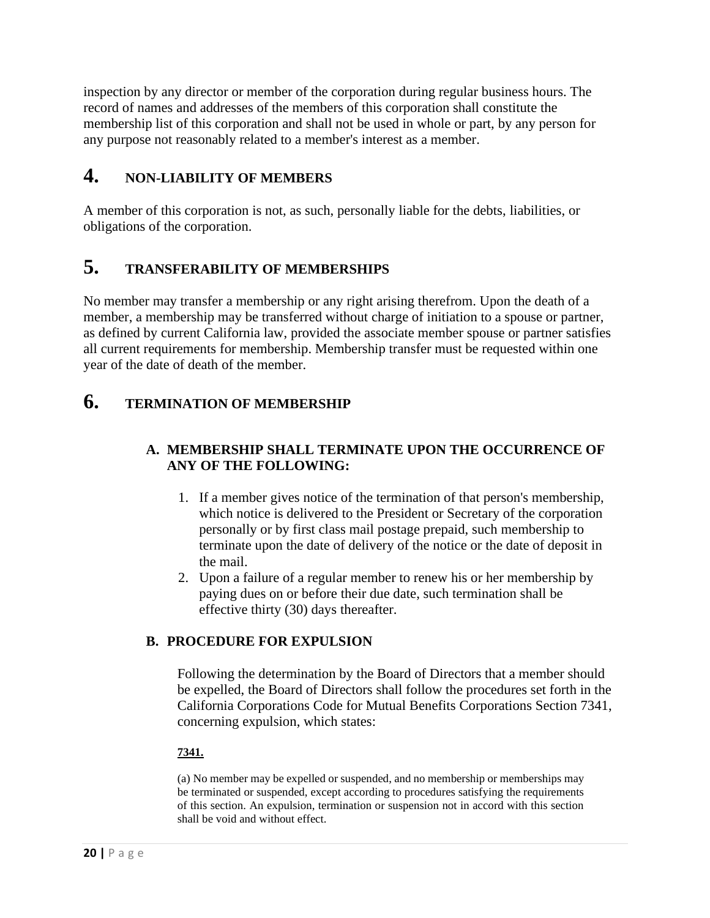inspection by any director or member of the corporation during regular business hours. The record of names and addresses of the members of this corporation shall constitute the membership list of this corporation and shall not be used in whole or part, by any person for any purpose not reasonably related to a member's interest as a member.

## **4. NON-LIABILITY OF MEMBERS**

A member of this corporation is not, as such, personally liable for the debts, liabilities, or obligations of the corporation.

## **5. TRANSFERABILITY OF MEMBERSHIPS**

No member may transfer a membership or any right arising therefrom. Upon the death of a member, a membership may be transferred without charge of initiation to a spouse or partner, as defined by current California law, provided the associate member spouse or partner satisfies all current requirements for membership. Membership transfer must be requested within one year of the date of death of the member.

### **6. TERMINATION OF MEMBERSHIP**

#### **A. MEMBERSHIP SHALL TERMINATE UPON THE OCCURRENCE OF ANY OF THE FOLLOWING:**

- 1. If a member gives notice of the termination of that person's membership, which notice is delivered to the President or Secretary of the corporation personally or by first class mail postage prepaid, such membership to terminate upon the date of delivery of the notice or the date of deposit in the mail.
- 2. Upon a failure of a regular member to renew his or her membership by paying dues on or before their due date, such termination shall be effective thirty (30) days thereafter.

#### **B. PROCEDURE FOR EXPULSION**

Following the determination by the Board of Directors that a member should be expelled, the Board of Directors shall follow the procedures set forth in the California Corporations Code for Mutual Benefits Corporations Section 7341, concerning expulsion, which states:

#### **[7341.](javascript:submitCodesValues()**

(a) No member may be expelled or suspended, and no membership or memberships may be terminated or suspended, except according to procedures satisfying the requirements of this section. An expulsion, termination or suspension not in accord with this section shall be void and without effect.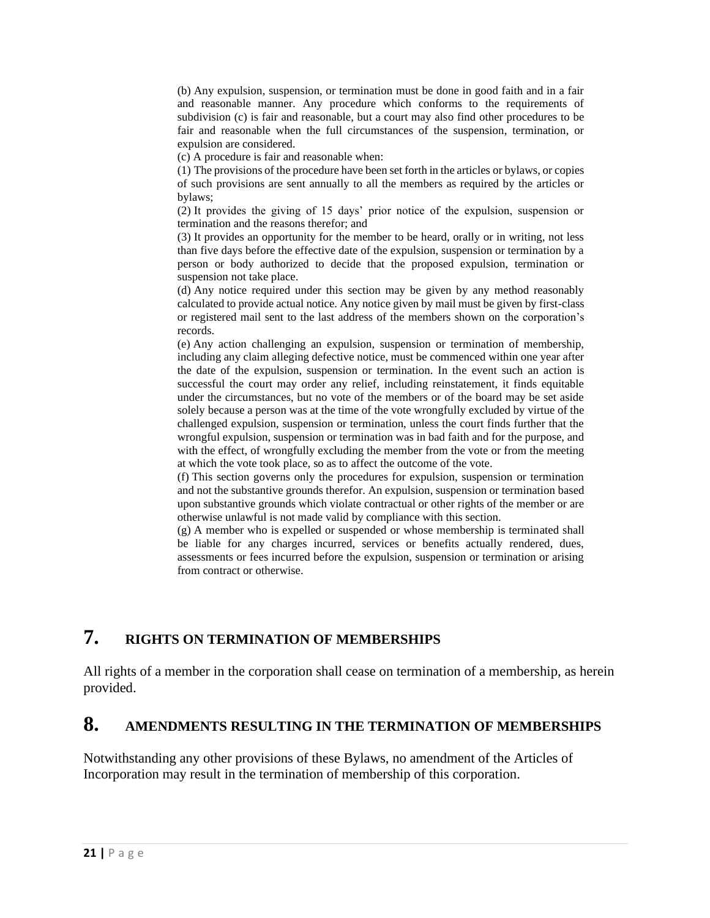(b) Any expulsion, suspension, or termination must be done in good faith and in a fair and reasonable manner. Any procedure which conforms to the requirements of subdivision (c) is fair and reasonable, but a court may also find other procedures to be fair and reasonable when the full circumstances of the suspension, termination, or expulsion are considered.

(c) A procedure is fair and reasonable when:

(1) The provisions of the procedure have been set forth in the articles or bylaws, or copies of such provisions are sent annually to all the members as required by the articles or bylaws;

(2) It provides the giving of 15 days' prior notice of the expulsion, suspension or termination and the reasons therefor; and

(3) It provides an opportunity for the member to be heard, orally or in writing, not less than five days before the effective date of the expulsion, suspension or termination by a person or body authorized to decide that the proposed expulsion, termination or suspension not take place.

(d) Any notice required under this section may be given by any method reasonably calculated to provide actual notice. Any notice given by mail must be given by first-class or registered mail sent to the last address of the members shown on the corporation's records.

(e) Any action challenging an expulsion, suspension or termination of membership, including any claim alleging defective notice, must be commenced within one year after the date of the expulsion, suspension or termination. In the event such an action is successful the court may order any relief, including reinstatement, it finds equitable under the circumstances, but no vote of the members or of the board may be set aside solely because a person was at the time of the vote wrongfully excluded by virtue of the challenged expulsion, suspension or termination, unless the court finds further that the wrongful expulsion, suspension or termination was in bad faith and for the purpose, and with the effect, of wrongfully excluding the member from the vote or from the meeting at which the vote took place, so as to affect the outcome of the vote.

(f) This section governs only the procedures for expulsion, suspension or termination and not the substantive grounds therefor. An expulsion, suspension or termination based upon substantive grounds which violate contractual or other rights of the member or are otherwise unlawful is not made valid by compliance with this section.

(g) A member who is expelled or suspended or whose membership is terminated shall be liable for any charges incurred, services or benefits actually rendered, dues, assessments or fees incurred before the expulsion, suspension or termination or arising from contract or otherwise.

# **7. RIGHTS ON TERMINATION OF MEMBERSHIPS**

All rights of a member in the corporation shall cease on termination of a membership, as herein provided.

#### **8. AMENDMENTS RESULTING IN THE TERMINATION OF MEMBERSHIPS**

Notwithstanding any other provisions of these Bylaws, no amendment of the Articles of Incorporation may result in the termination of membership of this corporation.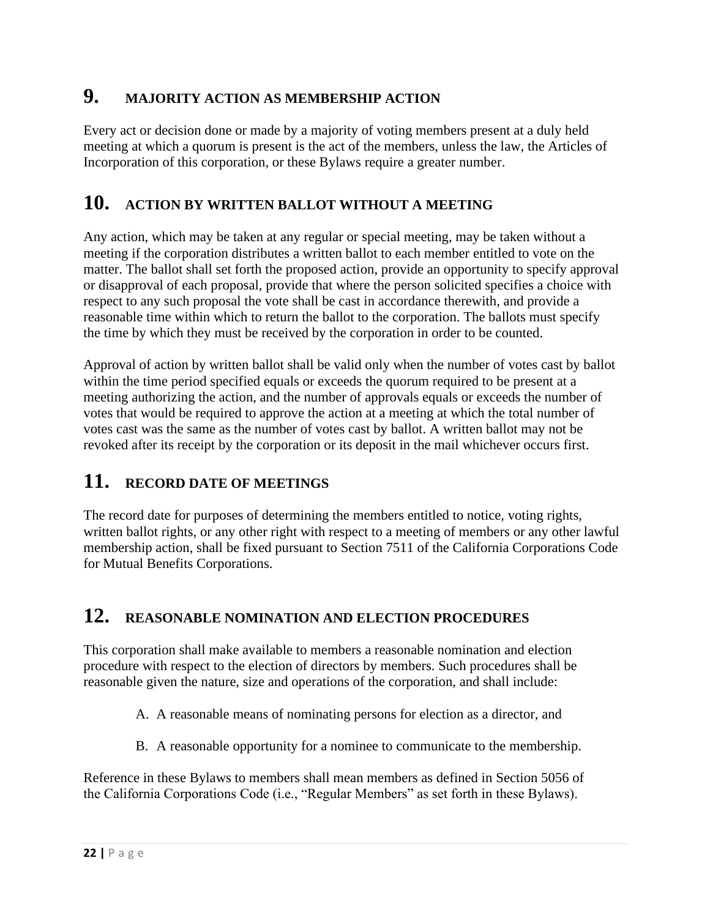# **9. MAJORITY ACTION AS MEMBERSHIP ACTION**

Every act or decision done or made by a majority of voting members present at a duly held meeting at which a quorum is present is the act of the members, unless the law, the Articles of Incorporation of this corporation, or these Bylaws require a greater number.

## **10. ACTION BY WRITTEN BALLOT WITHOUT A MEETING**

Any action, which may be taken at any regular or special meeting, may be taken without a meeting if the corporation distributes a written ballot to each member entitled to vote on the matter. The ballot shall set forth the proposed action, provide an opportunity to specify approval or disapproval of each proposal, provide that where the person solicited specifies a choice with respect to any such proposal the vote shall be cast in accordance therewith, and provide a reasonable time within which to return the ballot to the corporation. The ballots must specify the time by which they must be received by the corporation in order to be counted.

Approval of action by written ballot shall be valid only when the number of votes cast by ballot within the time period specified equals or exceeds the quorum required to be present at a meeting authorizing the action, and the number of approvals equals or exceeds the number of votes that would be required to approve the action at a meeting at which the total number of votes cast was the same as the number of votes cast by ballot. A written ballot may not be revoked after its receipt by the corporation or its deposit in the mail whichever occurs first.

# **11. RECORD DATE OF MEETINGS**

The record date for purposes of determining the members entitled to notice, voting rights, written ballot rights, or any other right with respect to a meeting of members or any other lawful membership action, shall be fixed pursuant to Section 7511 of the California Corporations Code for Mutual Benefits Corporations.

## **12. REASONABLE NOMINATION AND ELECTION PROCEDURES**

This corporation shall make available to members a reasonable nomination and election procedure with respect to the election of directors by members. Such procedures shall be reasonable given the nature, size and operations of the corporation, and shall include:

- A. A reasonable means of nominating persons for election as a director, and
- B. A reasonable opportunity for a nominee to communicate to the membership.

Reference in these Bylaws to members shall mean members as defined in Section 5056 of the California Corporations Code (i.e., "Regular Members" as set forth in these Bylaws).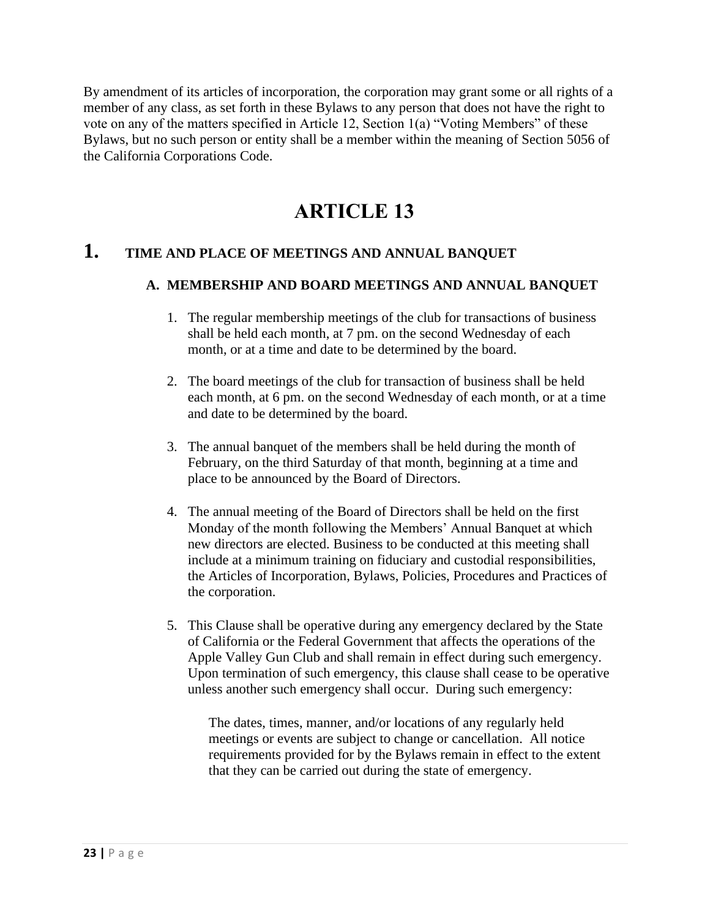By amendment of its articles of incorporation, the corporation may grant some or all rights of a member of any class, as set forth in these Bylaws to any person that does not have the right to vote on any of the matters specified in Article 12, Section 1(a) "Voting Members" of these Bylaws, but no such person or entity shall be a member within the meaning of Section 5056 of the California Corporations Code.

# **ARTICLE 13**

# **1. TIME AND PLACE OF MEETINGS AND ANNUAL BANQUET**

#### **A. MEMBERSHIP AND BOARD MEETINGS AND ANNUAL BANQUET**

- 1. The regular membership meetings of the club for transactions of business shall be held each month, at 7 pm. on the second Wednesday of each month, or at a time and date to be determined by the board.
- 2. The board meetings of the club for transaction of business shall be held each month, at 6 pm. on the second Wednesday of each month, or at a time and date to be determined by the board.
- 3. The annual banquet of the members shall be held during the month of February, on the third Saturday of that month, beginning at a time and place to be announced by the Board of Directors.
- 4. The annual meeting of the Board of Directors shall be held on the first Monday of the month following the Members' Annual Banquet at which new directors are elected. Business to be conducted at this meeting shall include at a minimum training on fiduciary and custodial responsibilities, the Articles of Incorporation, Bylaws, Policies, Procedures and Practices of the corporation.
- 5. This Clause shall be operative during any emergency declared by the State of California or the Federal Government that affects the operations of the Apple Valley Gun Club and shall remain in effect during such emergency. Upon termination of such emergency, this clause shall cease to be operative unless another such emergency shall occur. During such emergency:

The dates, times, manner, and/or locations of any regularly held meetings or events are subject to change or cancellation. All notice requirements provided for by the Bylaws remain in effect to the extent that they can be carried out during the state of emergency.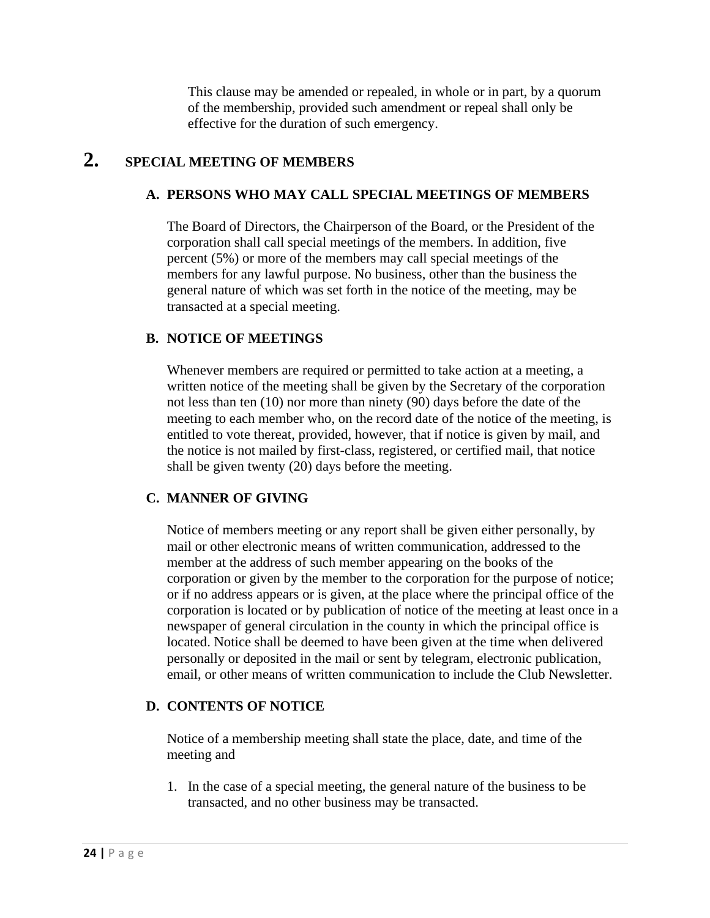This clause may be amended or repealed, in whole or in part, by a quorum of the membership, provided such amendment or repeal shall only be effective for the duration of such emergency.

### **2. SPECIAL MEETING OF MEMBERS**

#### **A. PERSONS WHO MAY CALL SPECIAL MEETINGS OF MEMBERS**

The Board of Directors, the Chairperson of the Board, or the President of the corporation shall call special meetings of the members. In addition, five percent (5%) or more of the members may call special meetings of the members for any lawful purpose. No business, other than the business the general nature of which was set forth in the notice of the meeting, may be transacted at a special meeting.

#### **B. NOTICE OF MEETINGS**

Whenever members are required or permitted to take action at a meeting, a written notice of the meeting shall be given by the Secretary of the corporation not less than ten (10) nor more than ninety (90) days before the date of the meeting to each member who, on the record date of the notice of the meeting, is entitled to vote thereat, provided, however, that if notice is given by mail, and the notice is not mailed by first-class, registered, or certified mail, that notice shall be given twenty (20) days before the meeting.

### **C. MANNER OF GIVING**

Notice of members meeting or any report shall be given either personally, by mail or other electronic means of written communication, addressed to the member at the address of such member appearing on the books of the corporation or given by the member to the corporation for the purpose of notice; or if no address appears or is given, at the place where the principal office of the corporation is located or by publication of notice of the meeting at least once in a newspaper of general circulation in the county in which the principal office is located. Notice shall be deemed to have been given at the time when delivered personally or deposited in the mail or sent by telegram, electronic publication, email, or other means of written communication to include the Club Newsletter.

#### **D. CONTENTS OF NOTICE**

Notice of a membership meeting shall state the place, date, and time of the meeting and

1. In the case of a special meeting, the general nature of the business to be transacted, and no other business may be transacted.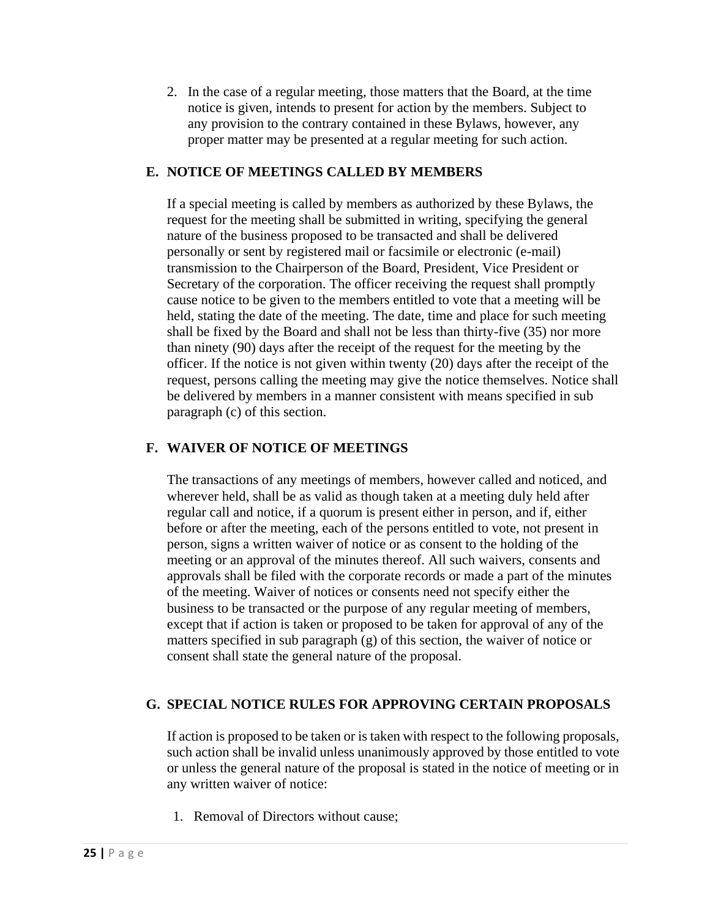2. In the case of a regular meeting, those matters that the Board, at the time notice is given, intends to present for action by the members. Subject to any provision to the contrary contained in these Bylaws, however, any proper matter may be presented at a regular meeting for such action.

#### **E. NOTICE OF MEETINGS CALLED BY MEMBERS**

If a special meeting is called by members as authorized by these Bylaws, the request for the meeting shall be submitted in writing, specifying the general nature of the business proposed to be transacted and shall be delivered personally or sent by registered mail or facsimile or electronic (e-mail) transmission to the Chairperson of the Board, President, Vice President or Secretary of the corporation. The officer receiving the request shall promptly cause notice to be given to the members entitled to vote that a meeting will be held, stating the date of the meeting. The date, time and place for such meeting shall be fixed by the Board and shall not be less than thirty-five (35) nor more than ninety (90) days after the receipt of the request for the meeting by the officer. If the notice is not given within twenty (20) days after the receipt of the request, persons calling the meeting may give the notice themselves. Notice shall be delivered by members in a manner consistent with means specified in sub paragraph (c) of this section.

#### **F. WAIVER OF NOTICE OF MEETINGS**

The transactions of any meetings of members, however called and noticed, and wherever held, shall be as valid as though taken at a meeting duly held after regular call and notice, if a quorum is present either in person, and if, either before or after the meeting, each of the persons entitled to vote, not present in person, signs a written waiver of notice or as consent to the holding of the meeting or an approval of the minutes thereof. All such waivers, consents and approvals shall be filed with the corporate records or made a part of the minutes of the meeting. Waiver of notices or consents need not specify either the business to be transacted or the purpose of any regular meeting of members, except that if action is taken or proposed to be taken for approval of any of the matters specified in sub paragraph (g) of this section, the waiver of notice or consent shall state the general nature of the proposal.

#### **G. SPECIAL NOTICE RULES FOR APPROVING CERTAIN PROPOSALS**

If action is proposed to be taken or is taken with respect to the following proposals, such action shall be invalid unless unanimously approved by those entitled to vote or unless the general nature of the proposal is stated in the notice of meeting or in any written waiver of notice:

1. Removal of Directors without cause;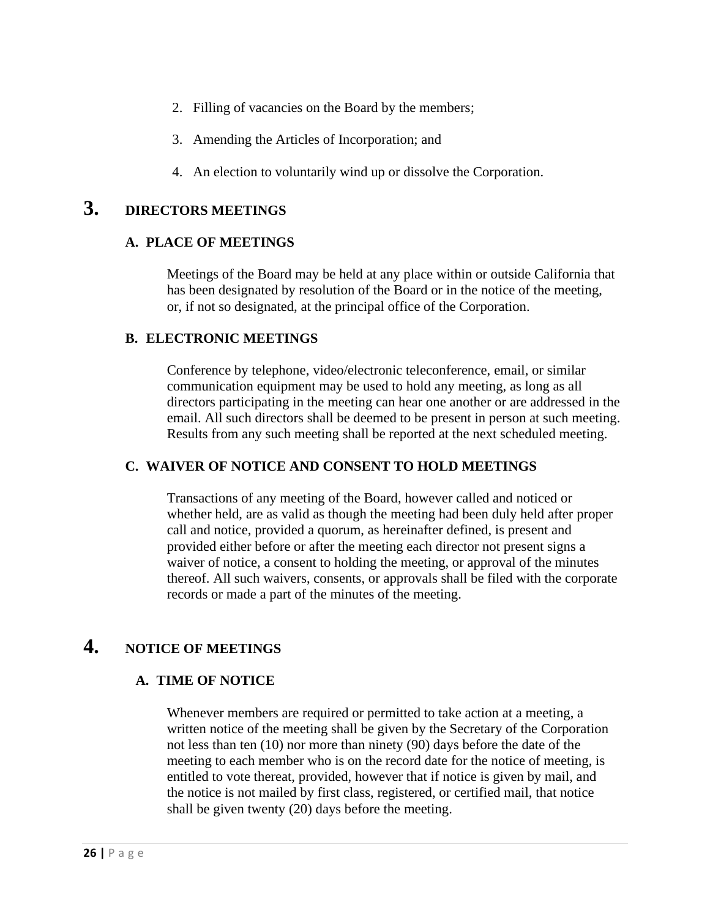- 2. Filling of vacancies on the Board by the members;
- 3. Amending the Articles of Incorporation; and
- 4. An election to voluntarily wind up or dissolve the Corporation.

## **3. DIRECTORS MEETINGS**

#### **A. PLACE OF MEETINGS**

Meetings of the Board may be held at any place within or outside California that has been designated by resolution of the Board or in the notice of the meeting, or, if not so designated, at the principal office of the Corporation.

#### **B. ELECTRONIC MEETINGS**

Conference by telephone, video/electronic teleconference, email, or similar communication equipment may be used to hold any meeting, as long as all directors participating in the meeting can hear one another or are addressed in the email. All such directors shall be deemed to be present in person at such meeting. Results from any such meeting shall be reported at the next scheduled meeting.

#### **C. WAIVER OF NOTICE AND CONSENT TO HOLD MEETINGS**

Transactions of any meeting of the Board, however called and noticed or whether held, are as valid as though the meeting had been duly held after proper call and notice, provided a quorum, as hereinafter defined, is present and provided either before or after the meeting each director not present signs a waiver of notice, a consent to holding the meeting, or approval of the minutes thereof. All such waivers, consents, or approvals shall be filed with the corporate records or made a part of the minutes of the meeting.

## **4. NOTICE OF MEETINGS**

#### **A. TIME OF NOTICE**

Whenever members are required or permitted to take action at a meeting, a written notice of the meeting shall be given by the Secretary of the Corporation not less than ten (10) nor more than ninety (90) days before the date of the meeting to each member who is on the record date for the notice of meeting, is entitled to vote thereat, provided, however that if notice is given by mail, and the notice is not mailed by first class, registered, or certified mail, that notice shall be given twenty (20) days before the meeting.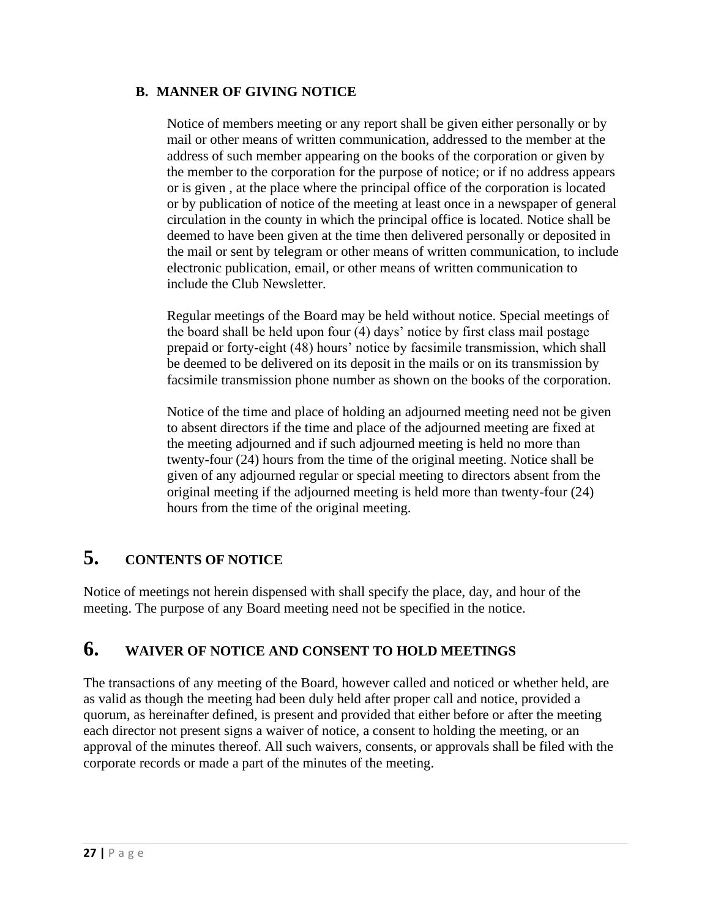#### **B. MANNER OF GIVING NOTICE**

Notice of members meeting or any report shall be given either personally or by mail or other means of written communication, addressed to the member at the address of such member appearing on the books of the corporation or given by the member to the corporation for the purpose of notice; or if no address appears or is given , at the place where the principal office of the corporation is located or by publication of notice of the meeting at least once in a newspaper of general circulation in the county in which the principal office is located. Notice shall be deemed to have been given at the time then delivered personally or deposited in the mail or sent by telegram or other means of written communication, to include electronic publication, email, or other means of written communication to include the Club Newsletter.

Regular meetings of the Board may be held without notice. Special meetings of the board shall be held upon four (4) days' notice by first class mail postage prepaid or forty-eight (48) hours' notice by facsimile transmission, which shall be deemed to be delivered on its deposit in the mails or on its transmission by facsimile transmission phone number as shown on the books of the corporation.

Notice of the time and place of holding an adjourned meeting need not be given to absent directors if the time and place of the adjourned meeting are fixed at the meeting adjourned and if such adjourned meeting is held no more than twenty-four (24) hours from the time of the original meeting. Notice shall be given of any adjourned regular or special meeting to directors absent from the original meeting if the adjourned meeting is held more than twenty-four (24) hours from the time of the original meeting.

# **5. CONTENTS OF NOTICE**

Notice of meetings not herein dispensed with shall specify the place, day, and hour of the meeting. The purpose of any Board meeting need not be specified in the notice.

## **6. WAIVER OF NOTICE AND CONSENT TO HOLD MEETINGS**

The transactions of any meeting of the Board, however called and noticed or whether held, are as valid as though the meeting had been duly held after proper call and notice, provided a quorum, as hereinafter defined, is present and provided that either before or after the meeting each director not present signs a waiver of notice, a consent to holding the meeting, or an approval of the minutes thereof. All such waivers, consents, or approvals shall be filed with the corporate records or made a part of the minutes of the meeting.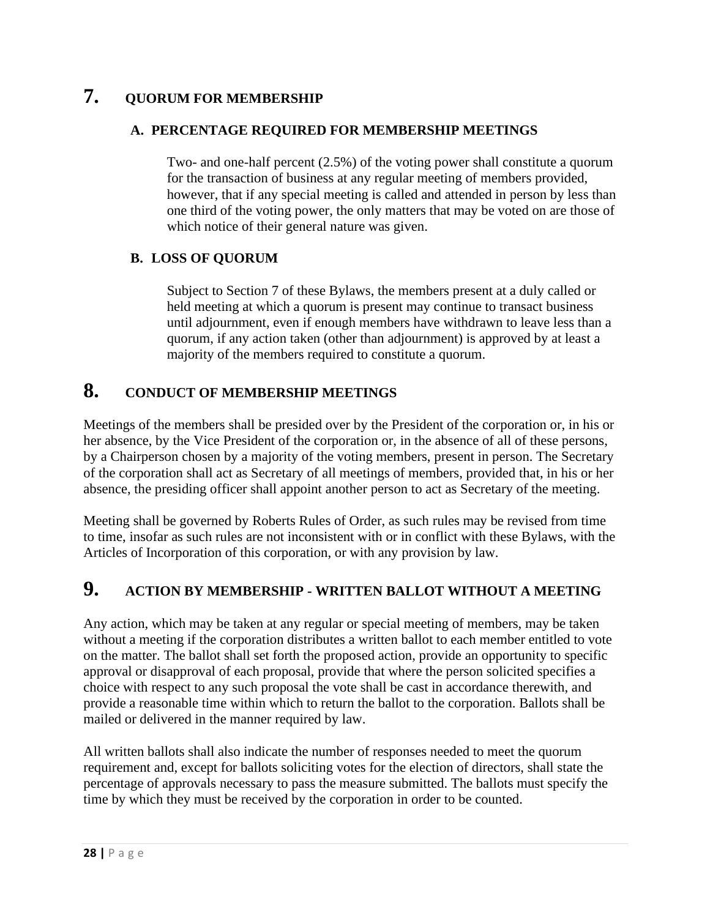## **7. QUORUM FOR MEMBERSHIP**

#### **A. PERCENTAGE REQUIRED FOR MEMBERSHIP MEETINGS**

Two- and one-half percent (2.5%) of the voting power shall constitute a quorum for the transaction of business at any regular meeting of members provided, however, that if any special meeting is called and attended in person by less than one third of the voting power, the only matters that may be voted on are those of which notice of their general nature was given.

#### **B. LOSS OF QUORUM**

Subject to Section 7 of these Bylaws, the members present at a duly called or held meeting at which a quorum is present may continue to transact business until adjournment, even if enough members have withdrawn to leave less than a quorum, if any action taken (other than adjournment) is approved by at least a majority of the members required to constitute a quorum.

## **8. CONDUCT OF MEMBERSHIP MEETINGS**

Meetings of the members shall be presided over by the President of the corporation or, in his or her absence, by the Vice President of the corporation or, in the absence of all of these persons, by a Chairperson chosen by a majority of the voting members, present in person. The Secretary of the corporation shall act as Secretary of all meetings of members, provided that, in his or her absence, the presiding officer shall appoint another person to act as Secretary of the meeting.

Meeting shall be governed by Roberts Rules of Order, as such rules may be revised from time to time, insofar as such rules are not inconsistent with or in conflict with these Bylaws, with the Articles of Incorporation of this corporation, or with any provision by law.

# **9. ACTION BY MEMBERSHIP - WRITTEN BALLOT WITHOUT A MEETING**

Any action, which may be taken at any regular or special meeting of members, may be taken without a meeting if the corporation distributes a written ballot to each member entitled to vote on the matter. The ballot shall set forth the proposed action, provide an opportunity to specific approval or disapproval of each proposal, provide that where the person solicited specifies a choice with respect to any such proposal the vote shall be cast in accordance therewith, and provide a reasonable time within which to return the ballot to the corporation. Ballots shall be mailed or delivered in the manner required by law.

All written ballots shall also indicate the number of responses needed to meet the quorum requirement and, except for ballots soliciting votes for the election of directors, shall state the percentage of approvals necessary to pass the measure submitted. The ballots must specify the time by which they must be received by the corporation in order to be counted.